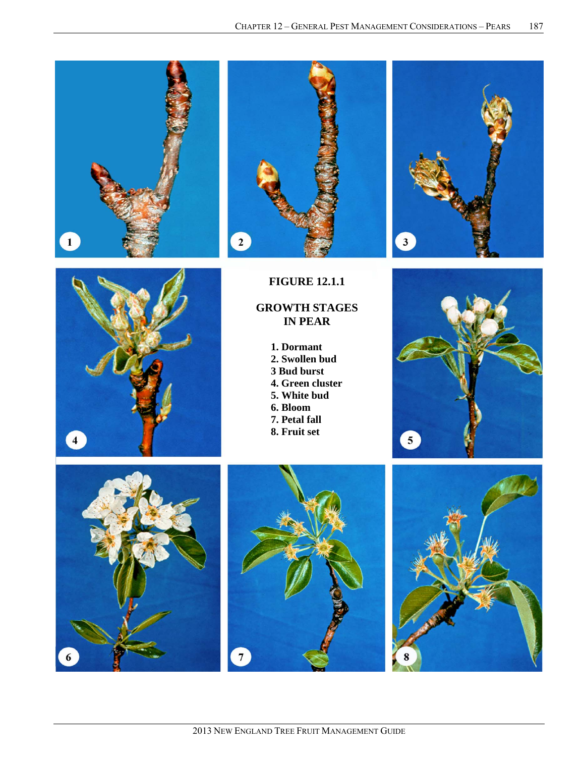







**FIGURE 12.1.1** 

# **GROWTH STAGES IN PEAR**

**1. Dormant 2. Swollen bud 3 Bud burst 4. Green cluster 5. White bud 6. Bloom 7. Petal fall 8. Fruit set** 







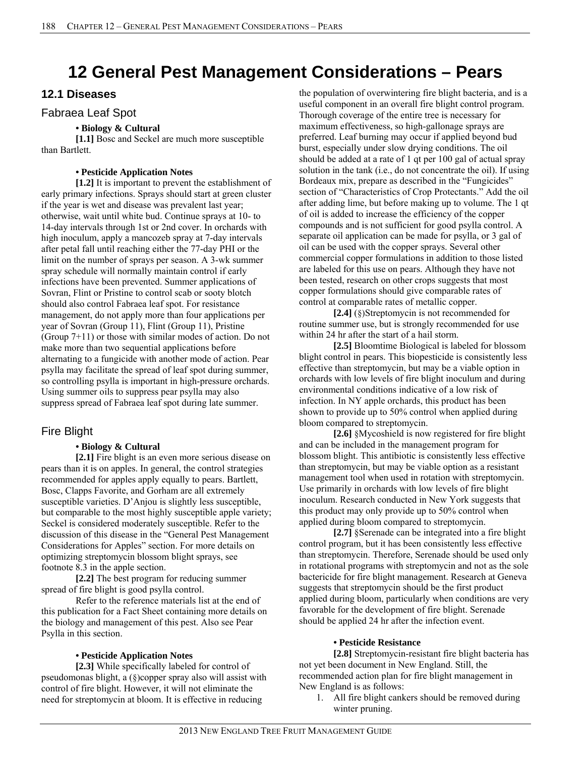# **12 General Pest Management Considerations – Pears**

# **12.1 Diseases**

### Fabraea Leaf Spot

### **• Biology & Cultural**

**[1.1]** Bosc and Seckel are much more susceptible than Bartlett.

### **• Pesticide Application Notes**

**[1.2]** It is important to prevent the establishment of early primary infections. Sprays should start at green cluster if the year is wet and disease was prevalent last year; otherwise, wait until white bud. Continue sprays at 10- to 14-day intervals through 1st or 2nd cover. In orchards with high inoculum, apply a mancozeb spray at 7-day intervals after petal fall until reaching either the 77-day PHI or the limit on the number of sprays per season. A 3-wk summer spray schedule will normally maintain control if early infections have been prevented. Summer applications of Sovran, Flint or Pristine to control scab or sooty blotch should also control Fabraea leaf spot. For resistance management, do not apply more than four applications per year of Sovran (Group 11), Flint (Group 11), Pristine (Group 7+11) or those with similar modes of action. Do not make more than two sequential applications before alternating to a fungicide with another mode of action. Pear psylla may facilitate the spread of leaf spot during summer, so controlling psylla is important in high-pressure orchards. Using summer oils to suppress pear psylla may also suppress spread of Fabraea leaf spot during late summer.

# Fire Blight

### **• Biology & Cultural**

**[2.1]** Fire blight is an even more serious disease on pears than it is on apples. In general, the control strategies recommended for apples apply equally to pears. Bartlett, Bosc, Clapps Favorite, and Gorham are all extremely susceptible varieties. D'Anjou is slightly less susceptible, but comparable to the most highly susceptible apple variety; Seckel is considered moderately susceptible. Refer to the discussion of this disease in the "General Pest Management Considerations for Apples" section. For more details on optimizing streptomycin blossom blight sprays, see footnote 8.3 in the apple section.

**[2.2]** The best program for reducing summer spread of fire blight is good psylla control.

Refer to the reference materials list at the end of this publication for a Fact Sheet containing more details on the biology and management of this pest. Also see Pear Psylla in this section.

#### **• Pesticide Application Notes**

**[2.3]** While specifically labeled for control of pseudomonas blight, a (§)copper spray also will assist with control of fire blight. However, it will not eliminate the need for streptomycin at bloom. It is effective in reducing

the population of overwintering fire blight bacteria, and is a useful component in an overall fire blight control program. Thorough coverage of the entire tree is necessary for maximum effectiveness, so high-gallonage sprays are preferred. Leaf burning may occur if applied beyond bud burst, especially under slow drying conditions. The oil should be added at a rate of 1 qt per 100 gal of actual spray solution in the tank (i.e., do not concentrate the oil). If using Bordeaux mix, prepare as described in the "Fungicides" section of "Characteristics of Crop Protectants." Add the oil after adding lime, but before making up to volume. The 1 qt of oil is added to increase the efficiency of the copper compounds and is not sufficient for good psylla control. A separate oil application can be made for psylla, or 3 gal of oil can be used with the copper sprays. Several other commercial copper formulations in addition to those listed are labeled for this use on pears. Although they have not been tested, research on other crops suggests that most copper formulations should give comparable rates of control at comparable rates of metallic copper.

**[2.4]** (§)Streptomycin is not recommended for routine summer use, but is strongly recommended for use within 24 hr after the start of a hail storm.

**[2.5]** Bloomtime Biological is labeled for blossom blight control in pears. This biopesticide is consistently less effective than streptomycin, but may be a viable option in orchards with low levels of fire blight inoculum and during environmental conditions indicative of a low risk of infection. In NY apple orchards, this product has been shown to provide up to 50% control when applied during bloom compared to streptomycin.

**[2.6]** §Mycoshield is now registered for fire blight and can be included in the management program for blossom blight. This antibiotic is consistently less effective than streptomycin, but may be viable option as a resistant management tool when used in rotation with streptomycin. Use primarily in orchards with low levels of fire blight inoculum. Research conducted in New York suggests that this product may only provide up to 50% control when applied during bloom compared to streptomycin.

**[2.7]** §Serenade can be integrated into a fire blight control program, but it has been consistently less effective than streptomycin. Therefore, Serenade should be used only in rotational programs with streptomycin and not as the sole bactericide for fire blight management. Research at Geneva suggests that streptomycin should be the first product applied during bloom, particularly when conditions are very favorable for the development of fire blight. Serenade should be applied 24 hr after the infection event.

#### **• Pesticide Resistance**

**[2.8]** Streptomycin-resistant fire blight bacteria has not yet been document in New England. Still, the recommended action plan for fire blight management in New England is as follows:

1. All fire blight cankers should be removed during winter pruning.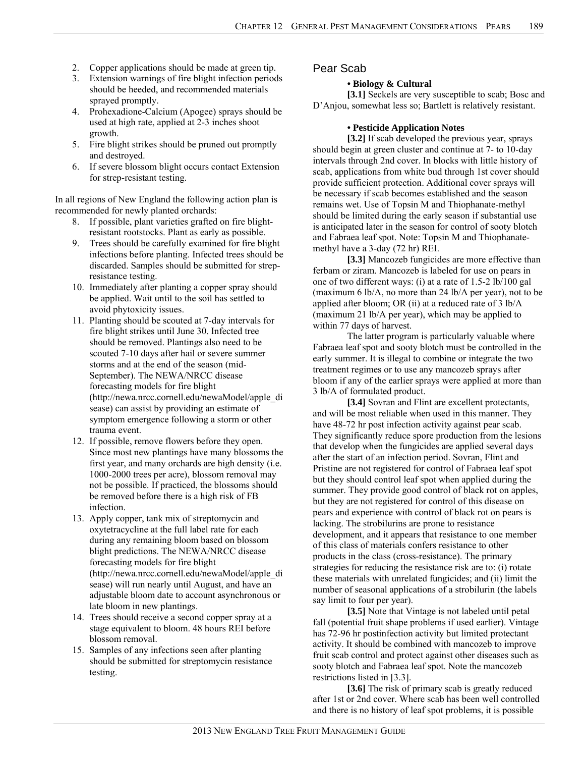- 2. Copper applications should be made at green tip.
- 3. Extension warnings of fire blight infection periods should be heeded, and recommended materials sprayed promptly.
- 4. Prohexadione-Calcium (Apogee) sprays should be used at high rate, applied at 2-3 inches shoot growth.
- 5. Fire blight strikes should be pruned out promptly and destroyed.
- 6. If severe blossom blight occurs contact Extension for strep-resistant testing.

In all regions of New England the following action plan is recommended for newly planted orchards:

- 8. If possible, plant varieties grafted on fire blightresistant rootstocks. Plant as early as possible.
- 9. Trees should be carefully examined for fire blight infections before planting. Infected trees should be discarded. Samples should be submitted for strepresistance testing.
- 10. Immediately after planting a copper spray should be applied. Wait until to the soil has settled to avoid phytoxicity issues.
- 11. Planting should be scouted at 7-day intervals for fire blight strikes until June 30. Infected tree should be removed. Plantings also need to be scouted 7-10 days after hail or severe summer storms and at the end of the season (mid-September). The NEWA/NRCC disease forecasting models for fire blight (http://newa.nrcc.cornell.edu/newaModel/apple\_di sease) can assist by providing an estimate of symptom emergence following a storm or other trauma event.
- 12. If possible, remove flowers before they open. Since most new plantings have many blossoms the first year, and many orchards are high density (i.e. 1000-2000 trees per acre), blossom removal may not be possible. If practiced, the blossoms should be removed before there is a high risk of FB infection.
- 13. Apply copper, tank mix of streptomycin and oxytetracycline at the full label rate for each during any remaining bloom based on blossom blight predictions. The NEWA/NRCC disease forecasting models for fire blight (http://newa.nrcc.cornell.edu/newaModel/apple\_di sease) will run nearly until August, and have an adjustable bloom date to account asynchronous or late bloom in new plantings.
- 14. Trees should receive a second copper spray at a stage equivalent to bloom. 48 hours REI before blossom removal.
- 15. Samples of any infections seen after planting should be submitted for streptomycin resistance testing.

### Pear Scab

#### **• Biology & Cultural**

[3.1] Seckels are very susceptible to scab; Bosc and D'Anjou, somewhat less so; Bartlett is relatively resistant.

#### **• Pesticide Application Notes**

**[3.2]** If scab developed the previous year, sprays should begin at green cluster and continue at 7- to 10-day intervals through 2nd cover. In blocks with little history of scab, applications from white bud through 1st cover should provide sufficient protection. Additional cover sprays will be necessary if scab becomes established and the season remains wet. Use of Topsin M and Thiophanate-methyl should be limited during the early season if substantial use is anticipated later in the season for control of sooty blotch and Fabraea leaf spot. Note: Topsin M and Thiophanatemethyl have a 3-day (72 hr) REI.

**[3.3]** Mancozeb fungicides are more effective than ferbam or ziram. Mancozeb is labeled for use on pears in one of two different ways: (i) at a rate of 1.5-2 lb/100 gal (maximum 6 lb/A, no more than 24 lb/A per year), not to be applied after bloom; OR (ii) at a reduced rate of 3 lb/A (maximum 21 lb/A per year), which may be applied to within 77 days of harvest.

The latter program is particularly valuable where Fabraea leaf spot and sooty blotch must be controlled in the early summer. It is illegal to combine or integrate the two treatment regimes or to use any mancozeb sprays after bloom if any of the earlier sprays were applied at more than 3 lb/A of formulated product.

**[3.4]** Sovran and Flint are excellent protectants, and will be most reliable when used in this manner. They have 48-72 hr post infection activity against pear scab. They significantly reduce spore production from the lesions that develop when the fungicides are applied several days after the start of an infection period. Sovran, Flint and Pristine are not registered for control of Fabraea leaf spot but they should control leaf spot when applied during the summer. They provide good control of black rot on apples, but they are not registered for control of this disease on pears and experience with control of black rot on pears is lacking. The strobilurins are prone to resistance development, and it appears that resistance to one member of this class of materials confers resistance to other products in the class (cross-resistance). The primary strategies for reducing the resistance risk are to: (i) rotate these materials with unrelated fungicides; and (ii) limit the number of seasonal applications of a strobilurin (the labels say limit to four per year).

**[3.5]** Note that Vintage is not labeled until petal fall (potential fruit shape problems if used earlier). Vintage has 72-96 hr postinfection activity but limited protectant activity. It should be combined with mancozeb to improve fruit scab control and protect against other diseases such as sooty blotch and Fabraea leaf spot. Note the mancozeb restrictions listed in [3.3].

[3.6] The risk of primary scab is greatly reduced after 1st or 2nd cover. Where scab has been well controlled and there is no history of leaf spot problems, it is possible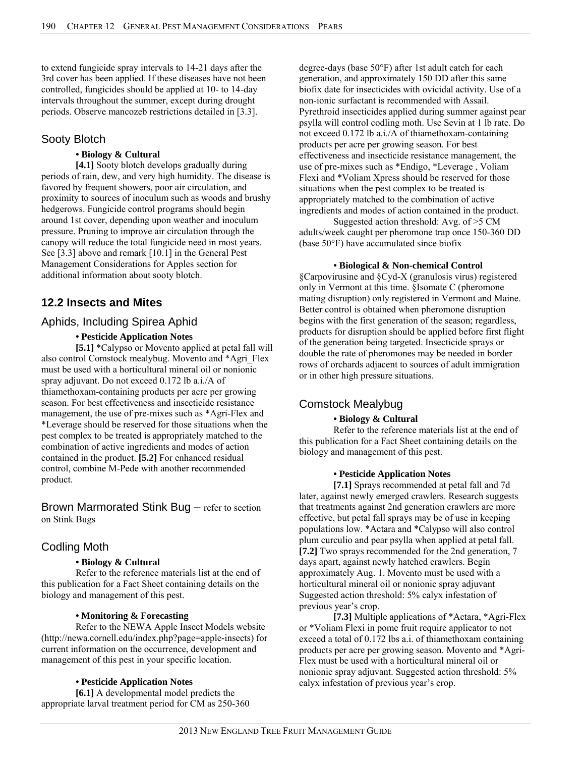to extend fungicide spray intervals to 14-21 days after the 3rd cover has been applied. If these diseases have not been controlled, fungicides should be applied at 10- to 14-day intervals throughout the summer, except during drought periods. Observe mancozeb restrictions detailed in [3.3].

### Sooty Blotch

#### **• Biology & Cultural**

**[4.1]** Sooty blotch develops gradually during periods of rain, dew, and very high humidity. The disease is favored by frequent showers, poor air circulation, and proximity to sources of inoculum such as woods and brushy hedgerows. Fungicide control programs should begin around 1st cover, depending upon weather and inoculum pressure. Pruning to improve air circulation through the canopy will reduce the total fungicide need in most years. See [3.3] above and remark [10.1] in the General Pest Management Considerations for Apples section for additional information about sooty blotch.

# **12.2 Insects and Mites**

### Aphids, Including Spirea Aphid

#### **• Pesticide Application Notes**

**[5.1]** \*Calypso or Movento applied at petal fall will also control Comstock mealybug. Movento and \*Agri\_Flex must be used with a horticultural mineral oil or nonionic spray adjuvant. Do not exceed 0.172 lb a.i./A of thiamethoxam-containing products per acre per growing season. For best effectiveness and insecticide resistance management, the use of pre-mixes such as \*Agri-Flex and \*Leverage should be reserved for those situations when the pest complex to be treated is appropriately matched to the combination of active ingredients and modes of action contained in the product. **[5.2]** For enhanced residual control, combine M-Pede with another recommended product.

Brown Marmorated Stink Bug – refer to section on Stink Bugs

# Codling Moth

#### **• Biology & Cultural**

Refer to the reference materials list at the end of this publication for a Fact Sheet containing details on the biology and management of this pest.

#### **• Monitoring & Forecasting**

 Refer to the NEWA Apple Insect Models website (http://newa.cornell.edu/index.php?page=apple-insects) for current information on the occurrence, development and management of this pest in your specific location.

#### **• Pesticide Application Notes**

**[6.1]** A developmental model predicts the appropriate larval treatment period for CM as 250-360 degree-days (base 50°F) after 1st adult catch for each generation, and approximately 150 DD after this same biofix date for insecticides with ovicidal activity. Use of a non-ionic surfactant is recommended with Assail. Pyrethroid insecticides applied during summer against pear psylla will control codling moth. Use Sevin at 1 lb rate. Do not exceed 0.172 lb a.i./A of thiamethoxam-containing products per acre per growing season. For best effectiveness and insecticide resistance management, the use of pre-mixes such as \*Endigo, \*Leverage , Voliam Flexi and \*Voliam Xpress should be reserved for those situations when the pest complex to be treated is appropriately matched to the combination of active ingredients and modes of action contained in the product.

Suggested action threshold: Avg. of >5 CM adults/week caught per pheromone trap once 150-360 DD (base 50°F) have accumulated since biofix

#### **• Biological & Non-chemical Control**

§Carpovirusine and §Cyd-X (granulosis virus) registered only in Vermont at this time. §Isomate C (pheromone mating disruption) only registered in Vermont and Maine. Better control is obtained when pheromone disruption begins with the first generation of the season; regardless, products for disruption should be applied before first flight of the generation being targeted. Insecticide sprays or double the rate of pheromones may be needed in border rows of orchards adjacent to sources of adult immigration or in other high pressure situations.

# Comstock Mealybug

#### **• Biology & Cultural**

Refer to the reference materials list at the end of this publication for a Fact Sheet containing details on the biology and management of this pest.

#### **• Pesticide Application Notes**

**[7.1]** Sprays recommended at petal fall and 7d later, against newly emerged crawlers. Research suggests that treatments against 2nd generation crawlers are more effective, but petal fall sprays may be of use in keeping populations low. \*Actara and \*Calypso will also control plum curculio and pear psylla when applied at petal fall. **[7.2]** Two sprays recommended for the 2nd generation, 7 days apart, against newly hatched crawlers. Begin approximately Aug. 1. Movento must be used with a horticultural mineral oil or nonionic spray adjuvant Suggested action threshold: 5% calyx infestation of previous year's crop.

**[7.3]** Multiple applications of \*Actara, \*Agri-Flex or \*Voliam Flexi in pome fruit require applicator to not exceed a total of 0.172 lbs a.i. of thiamethoxam containing products per acre per growing season. Movento and \*Agri-Flex must be used with a horticultural mineral oil or nonionic spray adjuvant. Suggested action threshold: 5% calyx infestation of previous year's crop.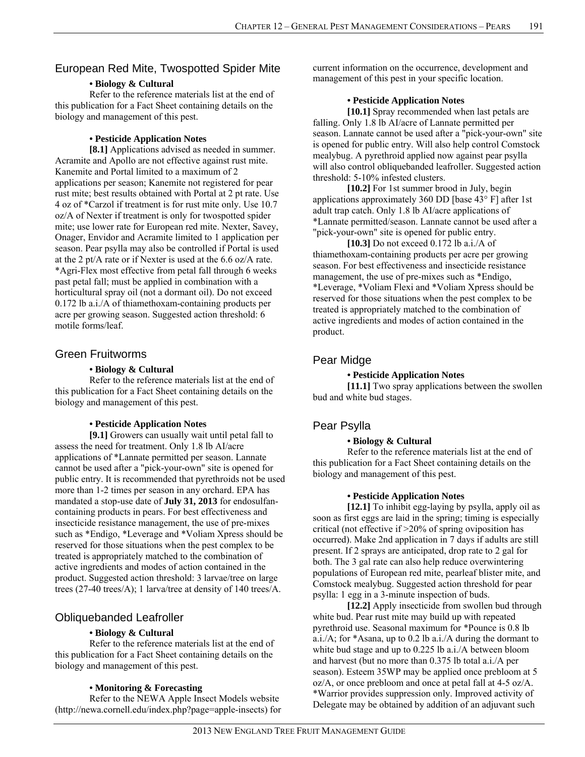# European Red Mite, Twospotted Spider Mite

#### **• Biology & Cultural**

Refer to the reference materials list at the end of this publication for a Fact Sheet containing details on the biology and management of this pest.

#### **• Pesticide Application Notes**

**[8.1]** Applications advised as needed in summer. Acramite and Apollo are not effective against rust mite. Kanemite and Portal limited to a maximum of 2 applications per season; Kanemite not registered for pear rust mite; best results obtained with Portal at 2 pt rate. Use 4 oz of \*Carzol if treatment is for rust mite only. Use 10.7 oz/A of Nexter if treatment is only for twospotted spider mite; use lower rate for European red mite. Nexter, Savey, Onager, Envidor and Acramite limited to 1 application per season. Pear psylla may also be controlled if Portal is used at the 2 pt/A rate or if Nexter is used at the 6.6 oz/A rate. \*Agri-Flex most effective from petal fall through 6 weeks past petal fall; must be applied in combination with a horticultural spray oil (not a dormant oil). Do not exceed 0.172 lb a.i./A of thiamethoxam-containing products per acre per growing season. Suggested action threshold: 6 motile forms/leaf.

### Green Fruitworms

#### **• Biology & Cultural**

Refer to the reference materials list at the end of this publication for a Fact Sheet containing details on the biology and management of this pest.

#### **• Pesticide Application Notes**

**[9.1]** Growers can usually wait until petal fall to assess the need for treatment. Only 1.8 lb AI/acre applications of \*Lannate permitted per season. Lannate cannot be used after a "pick-your-own" site is opened for public entry. It is recommended that pyrethroids not be used more than 1-2 times per season in any orchard. EPA has mandated a stop-use date of **July 31, 2013** for endosulfancontaining products in pears. For best effectiveness and insecticide resistance management, the use of pre-mixes such as \*Endigo, \*Leverage and \*Voliam Xpress should be reserved for those situations when the pest complex to be treated is appropriately matched to the combination of active ingredients and modes of action contained in the product. Suggested action threshold: 3 larvae/tree on large trees (27-40 trees/A); 1 larva/tree at density of 140 trees/A.

# Obliquebanded Leafroller

#### **• Biology & Cultural**

Refer to the reference materials list at the end of this publication for a Fact Sheet containing details on the biology and management of this pest.

#### **• Monitoring & Forecasting**

 Refer to the NEWA Apple Insect Models website (http://newa.cornell.edu/index.php?page=apple-insects) for current information on the occurrence, development and management of this pest in your specific location.

#### **• Pesticide Application Notes**

**[10.1]** Spray recommended when last petals are falling. Only 1.8 lb AI/acre of Lannate permitted per season. Lannate cannot be used after a "pick-your-own" site is opened for public entry. Will also help control Comstock mealybug. A pyrethroid applied now against pear psylla will also control obliquebanded leafroller. Suggested action threshold: 5-10% infested clusters.

**[10.2]** For 1st summer brood in July, begin applications approximately 360 DD [base 43° F] after 1st adult trap catch. Only 1.8 lb AI/acre applications of \*Lannate permitted/season. Lannate cannot be used after a "pick-your-own" site is opened for public entry.

**[10.3]** Do not exceed 0.172 lb a.i./A of thiamethoxam-containing products per acre per growing season. For best effectiveness and insecticide resistance management, the use of pre-mixes such as \*Endigo, \*Leverage, \*Voliam Flexi and \*Voliam Xpress should be reserved for those situations when the pest complex to be treated is appropriately matched to the combination of active ingredients and modes of action contained in the product.

# Pear Midge

#### **• Pesticide Application Notes**

**[11.1]** Two spray applications between the swollen bud and white bud stages.

# Pear Psylla

### **• Biology & Cultural**

Refer to the reference materials list at the end of this publication for a Fact Sheet containing details on the biology and management of this pest.

#### **• Pesticide Application Notes**

**[12.1]** To inhibit egg-laying by psylla, apply oil as soon as first eggs are laid in the spring; timing is especially critical (not effective if >20% of spring oviposition has occurred). Make 2nd application in 7 days if adults are still present. If 2 sprays are anticipated, drop rate to 2 gal for both. The 3 gal rate can also help reduce overwintering populations of European red mite, pearleaf blister mite, and Comstock mealybug. Suggested action threshold for pear psylla: 1 egg in a 3-minute inspection of buds.

**[12.2]** Apply insecticide from swollen bud through white bud. Pear rust mite may build up with repeated pyrethroid use. Seasonal maximum for \*Pounce is 0.8 lb a.i./A; for \*Asana, up to 0.2 lb a.i./A during the dormant to white bud stage and up to 0.225 lb a.i./A between bloom and harvest (but no more than 0.375 lb total a.i./A per season). Esteem 35WP may be applied once prebloom at 5 oz/A, or once prebloom and once at petal fall at 4-5 oz/A. \*Warrior provides suppression only. Improved activity of Delegate may be obtained by addition of an adjuvant such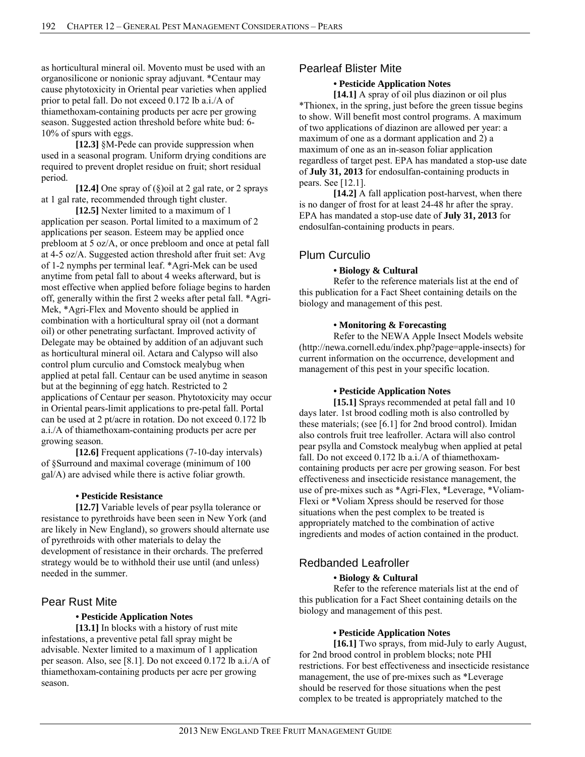as horticultural mineral oil. Movento must be used with an organosilicone or nonionic spray adjuvant. \*Centaur may cause phytotoxicity in Oriental pear varieties when applied prior to petal fall. Do not exceed 0.172 lb a.i./A of thiamethoxam-containing products per acre per growing season. Suggested action threshold before white bud: 6- 10% of spurs with eggs.

**[12.3]** §M-Pede can provide suppression when used in a seasonal program. Uniform drying conditions are required to prevent droplet residue on fruit; short residual period.

**[12.4]** One spray of (§)oil at 2 gal rate, or 2 sprays at 1 gal rate, recommended through tight cluster.

**[12.5]** Nexter limited to a maximum of 1 application per season. Portal limited to a maximum of 2 applications per season. Esteem may be applied once prebloom at 5 oz/A, or once prebloom and once at petal fall at 4-5 oz/A. Suggested action threshold after fruit set: Avg of 1-2 nymphs per terminal leaf. \*Agri-Mek can be used anytime from petal fall to about 4 weeks afterward, but is most effective when applied before foliage begins to harden off, generally within the first 2 weeks after petal fall. \*Agri-Mek, \*Agri-Flex and Movento should be applied in combination with a horticultural spray oil (not a dormant oil) or other penetrating surfactant. Improved activity of Delegate may be obtained by addition of an adjuvant such as horticultural mineral oil. Actara and Calypso will also control plum curculio and Comstock mealybug when applied at petal fall. Centaur can be used anytime in season but at the beginning of egg hatch. Restricted to 2 applications of Centaur per season. Phytotoxicity may occur in Oriental pears-limit applications to pre-petal fall. Portal can be used at 2 pt/acre in rotation. Do not exceed 0.172 lb a.i./A of thiamethoxam-containing products per acre per growing season.

**[12.6]** Frequent applications (7-10-day intervals) of §Surround and maximal coverage (minimum of 100 gal/A) are advised while there is active foliar growth.

#### **• Pesticide Resistance**

**[12.7]** Variable levels of pear psylla tolerance or resistance to pyrethroids have been seen in New York (and are likely in New England), so growers should alternate use of pyrethroids with other materials to delay the development of resistance in their orchards. The preferred strategy would be to withhold their use until (and unless) needed in the summer.

# Pear Rust Mite

### **• Pesticide Application Notes**

**[13.1]** In blocks with a history of rust mite infestations, a preventive petal fall spray might be advisable. Nexter limited to a maximum of 1 application per season. Also, see [8.1]. Do not exceed 0.172 lb a.i./A of thiamethoxam-containing products per acre per growing season.

# Pearleaf Blister Mite

### **• Pesticide Application Notes**

**[14.1]** A spray of oil plus diazinon or oil plus \*Thionex, in the spring, just before the green tissue begins to show. Will benefit most control programs. A maximum of two applications of diazinon are allowed per year: a maximum of one as a dormant application and 2) a maximum of one as an in-season foliar application regardless of target pest. EPA has mandated a stop-use date of **July 31, 2013** for endosulfan-containing products in pears. See [12.1].

**[14.2]** A fall application post-harvest, when there is no danger of frost for at least 24-48 hr after the spray. EPA has mandated a stop-use date of **July 31, 2013** for endosulfan-containing products in pears.

# Plum Curculio

#### **• Biology & Cultural**

Refer to the reference materials list at the end of this publication for a Fact Sheet containing details on the biology and management of this pest.

#### **• Monitoring & Forecasting**

 Refer to the NEWA Apple Insect Models website (http://newa.cornell.edu/index.php?page=apple-insects) for current information on the occurrence, development and management of this pest in your specific location.

#### **• Pesticide Application Notes**

**[15.1]** Sprays recommended at petal fall and 10 days later. 1st brood codling moth is also controlled by these materials; (see [6.1] for 2nd brood control). Imidan also controls fruit tree leafroller. Actara will also control pear psylla and Comstock mealybug when applied at petal fall. Do not exceed 0.172 lb a.i./A of thiamethoxamcontaining products per acre per growing season. For best effectiveness and insecticide resistance management, the use of pre-mixes such as \*Agri-Flex, \*Leverage, \*Voliam-Flexi or \*Voliam Xpress should be reserved for those situations when the pest complex to be treated is appropriately matched to the combination of active ingredients and modes of action contained in the product.

# Redbanded Leafroller

### **• Biology & Cultural**

Refer to the reference materials list at the end of this publication for a Fact Sheet containing details on the biology and management of this pest.

#### **• Pesticide Application Notes**

**[16.1]** Two sprays, from mid-July to early August, for 2nd brood control in problem blocks; note PHI restrictions. For best effectiveness and insecticide resistance management, the use of pre-mixes such as \*Leverage should be reserved for those situations when the pest complex to be treated is appropriately matched to the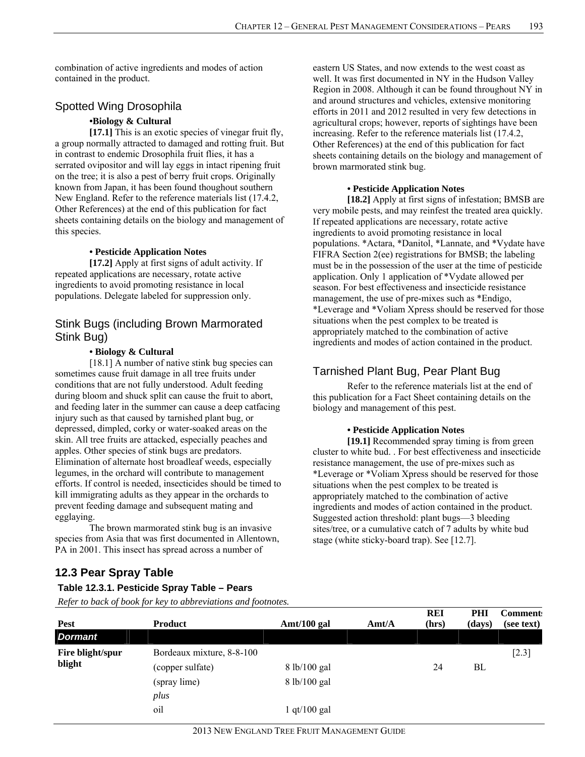combination of active ingredients and modes of action contained in the product.

# Spotted Wing Drosophila

#### **•Biology & Cultural**

[17.1] This is an exotic species of vinegar fruit fly, a group normally attracted to damaged and rotting fruit. But in contrast to endemic Drosophila fruit flies, it has a serrated ovipositor and will lay eggs in intact ripening fruit on the tree; it is also a pest of berry fruit crops. Originally known from Japan, it has been found thoughout southern New England. Refer to the reference materials list (17.4.2, Other References) at the end of this publication for fact sheets containing details on the biology and management of this species.

#### **• Pesticide Application Notes**

**[17.2]** Apply at first signs of adult activity. If repeated applications are necessary, rotate active ingredients to avoid promoting resistance in local populations. Delegate labeled for suppression only.

### Stink Bugs (including Brown Marmorated Stink Bug)

#### **• Biology & Cultural**

[18.1] A number of native stink bug species can sometimes cause fruit damage in all tree fruits under conditions that are not fully understood. Adult feeding during bloom and shuck split can cause the fruit to abort, and feeding later in the summer can cause a deep catfacing injury such as that caused by tarnished plant bug, or depressed, dimpled, corky or water-soaked areas on the skin. All tree fruits are attacked, especially peaches and apples. Other species of stink bugs are predators. Elimination of alternate host broadleaf weeds, especially legumes, in the orchard will contribute to management efforts. If control is needed, insecticides should be timed to kill immigrating adults as they appear in the orchards to prevent feeding damage and subsequent mating and egglaying.

 The brown marmorated stink bug is an invasive species from Asia that was first documented in Allentown, PA in 2001. This insect has spread across a number of

eastern US States, and now extends to the west coast as well. It was first documented in NY in the Hudson Valley Region in 2008. Although it can be found throughout NY in and around structures and vehicles, extensive monitoring efforts in 2011 and 2012 resulted in very few detections in agricultural crops; however, reports of sightings have been increasing. Refer to the reference materials list (17.4.2, Other References) at the end of this publication for fact sheets containing details on the biology and management of brown marmorated stink bug.

#### **• Pesticide Application Notes**

**[18.2]** Apply at first signs of infestation; BMSB are very mobile pests, and may reinfest the treated area quickly. If repeated applications are necessary, rotate active ingredients to avoid promoting resistance in local populations. \*Actara, \*Danitol, \*Lannate, and \*Vydate have FIFRA Section 2(ee) registrations for BMSB; the labeling must be in the possession of the user at the time of pesticide application. Only 1 application of \*Vydate allowed per season. For best effectiveness and insecticide resistance management, the use of pre-mixes such as \*Endigo, \*Leverage and \*Voliam Xpress should be reserved for those situations when the pest complex to be treated is appropriately matched to the combination of active ingredients and modes of action contained in the product.

# Tarnished Plant Bug, Pear Plant Bug

Refer to the reference materials list at the end of this publication for a Fact Sheet containing details on the biology and management of this pest.

#### **• Pesticide Application Notes**

**[19.1]** Recommended spray timing is from green cluster to white bud. . For best effectiveness and insecticide resistance management, the use of pre-mixes such as \*Leverage or \*Voliam Xpress should be reserved for those situations when the pest complex to be treated is appropriately matched to the combination of active ingredients and modes of action contained in the product. Suggested action threshold: plant bugs—3 bleeding sites/tree, or a cumulative catch of 7 adults by white bud stage (white sticky-board trap). See [12.7].

# **12.3 Pear Spray Table**

#### **Table 12.3.1. Pesticide Spray Table – Pears**

| <b>Pest</b>                | <b>Product</b>            | Amt/100 gal                   | $\text{A}$ mt/A | <b>REI</b><br>(hrs) | PHI<br>(days) | <b>Comment:</b><br>(see text) |
|----------------------------|---------------------------|-------------------------------|-----------------|---------------------|---------------|-------------------------------|
| Dormant                    |                           |                               |                 |                     |               |                               |
| Fire blight/spur<br>blight | Bordeaux mixture, 8-8-100 |                               |                 |                     |               | $[2.3]$                       |
|                            | (copper sulfate)          | $8 \frac{\text{lb}}{100}$ gal |                 | 24                  | BL            |                               |
|                            | (spray lime)              | 8 lb/100 gal                  |                 |                     |               |                               |
|                            | plus                      |                               |                 |                     |               |                               |
|                            | oil                       | $1$ qt/ $100$ gal             |                 |                     |               |                               |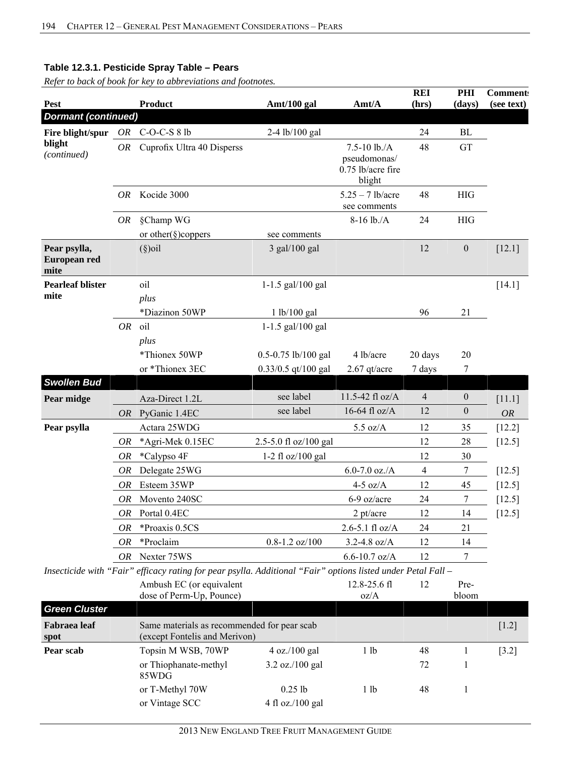| Pest                                 |             | <b>Product</b>                                                                                               | Amt/100 gal           | Amt/A                                                             | <b>REI</b><br>(hrs) | PHI<br>(days)    | <b>Comment:</b><br>(see text) |
|--------------------------------------|-------------|--------------------------------------------------------------------------------------------------------------|-----------------------|-------------------------------------------------------------------|---------------------|------------------|-------------------------------|
| <b>Dormant (continued)</b>           |             |                                                                                                              |                       |                                                                   |                     |                  |                               |
| Fire blight/spur                     |             | OR $C-O-C-S81b$                                                                                              | 2-4 lb/100 gal        |                                                                   | 24                  | <b>BL</b>        |                               |
| blight<br>(continued)                | <i>OR</i>   | Cuprofix Ultra 40 Disperss                                                                                   |                       | $7.5 - 10$ lb./A<br>pseudomonas/<br>$0.75$ lb/acre fire<br>blight | 48                  | <b>GT</b>        |                               |
|                                      | <i>OR</i>   | Kocide 3000                                                                                                  |                       | $5.25 - 7$ lb/acre<br>see comments                                | 48                  | <b>HIG</b>       |                               |
|                                      | OR          | §Champ WG                                                                                                    |                       | $8-16$ lb./A                                                      | 24                  | <b>HIG</b>       |                               |
|                                      |             | or other( $\S$ )coppers                                                                                      | see comments          |                                                                   |                     |                  |                               |
| Pear psylla,<br>European red<br>mite |             | $(\S)$ oil                                                                                                   | 3 gal/100 gal         |                                                                   | 12                  | $\boldsymbol{0}$ | $[12.1]$                      |
| <b>Pearleaf blister</b>              |             | oil                                                                                                          | $1-1.5$ gal/100 gal   |                                                                   |                     |                  | [14.1]                        |
| mite                                 |             | plus                                                                                                         |                       |                                                                   |                     |                  |                               |
|                                      |             | *Diazinon 50WP                                                                                               | 1 lb/100 gal          |                                                                   | 96                  | 21               |                               |
|                                      | <b>OR</b>   | oil                                                                                                          | 1-1.5 gal/100 gal     |                                                                   |                     |                  |                               |
|                                      |             | plus                                                                                                         |                       |                                                                   |                     |                  |                               |
|                                      |             | *Thionex 50WP                                                                                                | 0.5-0.75 lb/100 gal   | 4 lb/acre                                                         | 20 days             | 20               |                               |
|                                      |             | or *Thionex 3EC                                                                                              | $0.33/0.5$ qt/100 gal | 2.67 qt/acre                                                      | 7 days              | 7                |                               |
| <b>Swollen Bud</b>                   |             |                                                                                                              |                       |                                                                   |                     |                  |                               |
| Pear midge                           |             | Aza-Direct 1.2L                                                                                              | see label             | 11.5-42 fl oz/A                                                   | $\overline{4}$      | $\boldsymbol{0}$ | [11.1]                        |
|                                      |             | OR PyGanic 1.4EC                                                                                             | see label             | 16-64 fl oz/A                                                     | 12                  | $\boldsymbol{0}$ | <b>OR</b>                     |
| Pear psylla                          |             | Actara 25WDG                                                                                                 |                       | $5.5 \text{ oz/A}$                                                | 12                  | 35               | $[12.2]$                      |
|                                      | ${\cal OR}$ | *Agri-Mek 0.15EC                                                                                             | 2.5-5.0 fl oz/100 gal |                                                                   | 12                  | 28               | $[12.5]$                      |
|                                      | OR          | *Calypso 4F                                                                                                  | 1-2 fl $oz/100$ gal   |                                                                   | 12                  | 30               |                               |
|                                      | OR          | Delegate 25WG                                                                                                |                       | $6.0 - 7.0$ oz./A                                                 | $\overline{4}$      | 7                | [12.5]                        |
|                                      | <b>OR</b>   | Esteem 35WP                                                                                                  |                       | $4-5$ oz/A                                                        | 12                  | 45               | $[12.5]$                      |
|                                      | OR          | Movento 240SC                                                                                                |                       | 6-9 oz/acre                                                       | 24                  | 7                | [12.5]                        |
|                                      |             | OR Portal 0.4EC                                                                                              |                       | $2$ pt/acre                                                       | 12                  | 14               | [12.5]                        |
|                                      | OR          | *Proaxis 0.5CS                                                                                               |                       | $2.6 - 5.1$ fl oz/A                                               | 24                  | 21               |                               |
|                                      | OR          | *Proclaim                                                                                                    | $0.8 - 1.2$ oz/100    | $3.2 - 4.8$ oz/A                                                  | 12                  | 14               |                               |
|                                      | OR          | Nexter 75WS                                                                                                  |                       | $6.6 - 10.7$ oz/A                                                 | 12                  | 7                |                               |
|                                      |             | Insecticide with "Fair" efficacy rating for pear psylla. Additional "Fair" options listed under Petal Fall - |                       |                                                                   |                     |                  |                               |
|                                      |             | Ambush EC (or equivalent<br>dose of Perm-Up, Pounce)                                                         |                       | 12.8-25.6 fl<br>oz/A                                              | 12                  | Pre-<br>bloom    |                               |
| <b>Green Cluster</b>                 |             |                                                                                                              |                       |                                                                   |                     |                  |                               |

| <b>Green Cluster</b> |                                                                              |                                    |      |    |                     |
|----------------------|------------------------------------------------------------------------------|------------------------------------|------|----|---------------------|
| Fabraea leaf<br>spot | Same materials as recommended for pear scab<br>(except Fontelis and Merivon) |                                    |      |    | $\lceil 1.2 \rceil$ |
| Pear scab            | Topsin M WSB, 70WP                                                           | $4 \text{ oz.}/100 \text{ gal}$    | 1 lb | 48 | $[3.2]$             |
|                      | or Thiophanate-methyl<br>85WDG                                               | $3.2 \text{ oz} / 100 \text{ gal}$ |      | 72 |                     |
|                      | or T-Methyl 70W                                                              | $0.25$ lb                          | 1 lb | 48 |                     |
|                      | or Vintage SCC                                                               | 4 fl oz./100 gal                   |      |    |                     |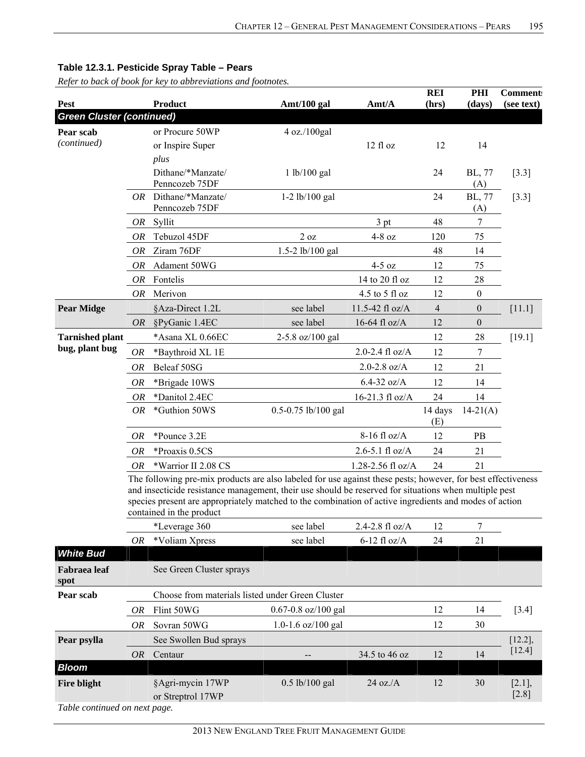|                                                 |           | <b>Product</b>                                                                                                                                                                                                                                                                                                                                              |                         | Amt/A               | <b>REI</b>     | PHI              | <b>Comment:</b>      |
|-------------------------------------------------|-----------|-------------------------------------------------------------------------------------------------------------------------------------------------------------------------------------------------------------------------------------------------------------------------------------------------------------------------------------------------------------|-------------------------|---------------------|----------------|------------------|----------------------|
| <b>Pest</b><br><b>Green Cluster (continued)</b> |           |                                                                                                                                                                                                                                                                                                                                                             | Amt/100 gal             |                     | (hrs)          | (days)           | (see text)           |
| Pear scab                                       |           | or Procure 50WP                                                                                                                                                                                                                                                                                                                                             | 4 oz./100gal            |                     |                |                  |                      |
| (continued)                                     |           | or Inspire Super                                                                                                                                                                                                                                                                                                                                            |                         | 12 fl oz            | 12             | 14               |                      |
|                                                 |           | plus                                                                                                                                                                                                                                                                                                                                                        |                         |                     |                |                  |                      |
|                                                 |           | Dithane/*Manzate/<br>Penncozeb 75DF                                                                                                                                                                                                                                                                                                                         | 1 lb/100 gal            |                     | 24             | BL, 77<br>(A)    | $[3.3]$              |
|                                                 |           | $OR$ Dithane/*Manzate/<br>Penncozeb 75DF                                                                                                                                                                                                                                                                                                                    | $1-2$ lb/100 gal        |                     | 24             | BL, 77<br>(A)    | $[3.3]$              |
|                                                 | OR        | Syllit                                                                                                                                                                                                                                                                                                                                                      |                         | 3 pt                | 48             | 7                |                      |
|                                                 | OR        | Tebuzol 45DF                                                                                                                                                                                                                                                                                                                                                | 2 oz                    | $4-8$ oz            | 120            | 75               |                      |
|                                                 | 0R        | Ziram 76DF                                                                                                                                                                                                                                                                                                                                                  | 1.5-2 lb/100 gal        |                     | 48             | 14               |                      |
|                                                 | OR        | Adament 50WG                                                                                                                                                                                                                                                                                                                                                |                         | $4-5$ oz            | 12             | 75               |                      |
|                                                 | OR        | Fontelis                                                                                                                                                                                                                                                                                                                                                    |                         | 14 to 20 fl oz      | 12             | 28               |                      |
|                                                 | OR        | Merivon                                                                                                                                                                                                                                                                                                                                                     |                         | 4.5 to 5 fl oz      | 12             | $\boldsymbol{0}$ |                      |
| <b>Pear Midge</b>                               |           | §Aza-Direct 1.2L                                                                                                                                                                                                                                                                                                                                            | see label               | 11.5-42 fl oz/A     | $\overline{4}$ | $\boldsymbol{0}$ | $[11.1]$             |
|                                                 | OR        | §PyGanic 1.4EC                                                                                                                                                                                                                                                                                                                                              | see label               | 16-64 fl $oz/A$     | 12             | $\boldsymbol{0}$ |                      |
| <b>Tarnished plant</b>                          |           | *Asana XL 0.66EC                                                                                                                                                                                                                                                                                                                                            | 2-5.8 oz/100 gal        |                     | 12             | 28               | [19.1]               |
| bug, plant bug                                  | OR        | *Baythroid XL 1E                                                                                                                                                                                                                                                                                                                                            |                         | 2.0-2.4 $fl$ oz/A   | 12             | 7                |                      |
|                                                 | <i>OR</i> | Beleaf 50SG                                                                                                                                                                                                                                                                                                                                                 |                         | $2.0 - 2.8$ oz/A    | 12             | 21               |                      |
|                                                 | OR        | *Brigade 10WS                                                                                                                                                                                                                                                                                                                                               |                         | $6.4 - 32$ oz/A     | 12             | 14               |                      |
|                                                 | OR        | *Danitol 2.4EC                                                                                                                                                                                                                                                                                                                                              |                         | 16-21.3 fl oz/A     | 24             | 14               |                      |
|                                                 | <i>OR</i> | *Guthion 50WS                                                                                                                                                                                                                                                                                                                                               | $0.5 - 0.75$ lb/100 gal |                     | 14 days<br>(E) | $14-21(A)$       |                      |
|                                                 | <i>OR</i> | *Pounce 3.2E                                                                                                                                                                                                                                                                                                                                                |                         | 8-16 fl oz/A        | 12             | PB               |                      |
|                                                 | 0R        | *Proaxis 0.5CS                                                                                                                                                                                                                                                                                                                                              |                         | $2.6 - 5.1$ fl oz/A | 24             | 21               |                      |
|                                                 | <b>OR</b> | *Warrior II 2.08 CS                                                                                                                                                                                                                                                                                                                                         |                         | 1.28-2.56 fl oz/A   | 24             | 21               |                      |
|                                                 |           | The following pre-mix products are also labeled for use against these pests; however, for best effectiveness<br>and insecticide resistance management, their use should be reserved for situations when multiple pest<br>species present are appropriately matched to the combination of active ingredients and modes of action<br>contained in the product |                         |                     |                |                  |                      |
|                                                 |           | *Leverage 360                                                                                                                                                                                                                                                                                                                                               | see label               | 2.4-2.8 $fl$ oz/A   | 12             | 7                |                      |
| <b>White Bud</b>                                | OR        | *Voliam Xpress                                                                                                                                                                                                                                                                                                                                              | see label               | $6-12$ fl oz/A      | 24             | 21               |                      |
| <b>Fabraea</b> leaf<br>spot                     |           | See Green Cluster sprays                                                                                                                                                                                                                                                                                                                                    |                         |                     |                |                  |                      |
| Pear scab                                       |           | Choose from materials listed under Green Cluster                                                                                                                                                                                                                                                                                                            |                         |                     |                |                  |                      |
|                                                 | OR        | Flint 50WG                                                                                                                                                                                                                                                                                                                                                  | $0.67 - 0.8$ oz/100 gal |                     | 12             | 14               | $[3.4]$              |
|                                                 | OR        | Sovran 50WG                                                                                                                                                                                                                                                                                                                                                 | 1.0-1.6 $oz/100$ gal    |                     | 12             | 30               |                      |
| Pear psylla                                     |           | See Swollen Bud sprays                                                                                                                                                                                                                                                                                                                                      |                         |                     |                |                  | $[12.2]$ ,           |
|                                                 | <b>OR</b> | Centaur                                                                                                                                                                                                                                                                                                                                                     |                         | 34.5 to 46 oz       | 12             | 14               | $[12.4]$             |
| <b>Bloom</b>                                    |           |                                                                                                                                                                                                                                                                                                                                                             |                         |                     |                |                  |                      |
| <b>Fire blight</b>                              |           | §Agri-mycin 17WP<br>or Streptrol 17WP                                                                                                                                                                                                                                                                                                                       | $0.5$ lb/100 gal        | $24$ oz./A          | 12             | 30               | $[2.1]$ ,<br>$[2.8]$ |
| Table continued on next page.                   |           |                                                                                                                                                                                                                                                                                                                                                             |                         |                     |                |                  |                      |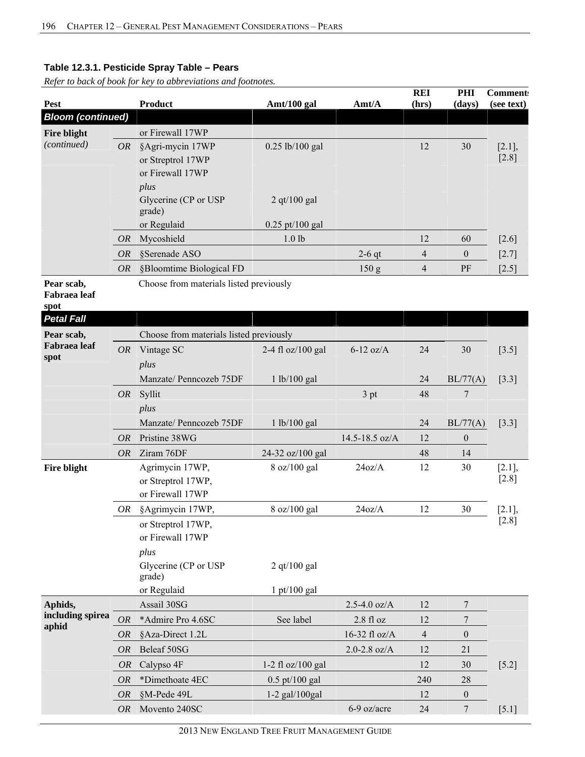*Refer to back of book for key to abbreviations and footnotes.* 

| <b>Pest</b>                                             |           | <b>Product</b>                                            | Amt/100 gal                            | Amt/A            | <b>REI</b><br>(hrs)      | PHI<br>(days)    | <b>Comment:</b><br>(see text) |
|---------------------------------------------------------|-----------|-----------------------------------------------------------|----------------------------------------|------------------|--------------------------|------------------|-------------------------------|
| <b>Bloom (continued)</b>                                |           |                                                           |                                        |                  |                          |                  |                               |
| <b>Fire blight</b>                                      |           | or Firewall 17WP                                          |                                        |                  |                          |                  |                               |
| (continued)                                             | <i>OR</i> | §Agri-mycin 17WP<br>or Streptrol 17WP<br>or Firewall 17WP | 0.25 lb/100 gal                        |                  | 12                       | 30               | $[2.1]$ ,<br>$[2.8]$          |
|                                                         |           | plus<br>Glycerine (CP or USP<br>grade)                    | $2$ qt/100 gal                         |                  |                          |                  |                               |
|                                                         | <i>OR</i> | or Regulaid<br>Mycoshield                                 | $0.25$ pt/100 gal<br>1.0 <sub>lb</sub> |                  | 12                       | 60               | $[2.6]$                       |
|                                                         | <b>OR</b> | §Serenade ASO                                             |                                        |                  | $\overline{\mathcal{L}}$ |                  |                               |
|                                                         |           |                                                           |                                        | $2-6$ qt         |                          | $\boldsymbol{0}$ | $[2.7]$                       |
|                                                         | <i>OR</i> | §Bloomtime Biological FD                                  |                                        | 150 <sub>g</sub> | $\overline{4}$           | PF               | $[2.5]$                       |
| Pear scab,<br>Fabraea leaf<br>spot<br><b>Petal Fall</b> |           | Choose from materials listed previously                   |                                        |                  |                          |                  |                               |
| Pear scab,                                              |           | Choose from materials listed previously                   |                                        |                  |                          |                  |                               |
| <b>Fabraea</b> leaf<br>spot                             | <b>OR</b> | Vintage SC<br>plus                                        | 2-4 fl $oz/100$ gal                    | $6-12$ oz/A      | 24                       | 30               | $[3.5]$                       |
|                                                         |           | Manzate/ Penncozeb 75DF                                   | 1 lb/100 gal                           |                  | 24                       | BL/77(A)         | $[3.3]$                       |
|                                                         | <i>OR</i> | Syllit<br>plus                                            |                                        | 3 pt             | 48                       | 7                |                               |
|                                                         |           | Manzate/ Penncozeb 75DF                                   | 1 lb/100 gal                           |                  | 24                       | BL/77(A)         | $[3.3]$                       |
|                                                         | <i>OR</i> | Pristine 38WG                                             |                                        | 14.5-18.5 oz/A   | 12                       | $\boldsymbol{0}$ |                               |
|                                                         | <b>OR</b> | Ziram 76DF                                                | 24-32 oz/100 gal                       |                  | 48                       | 14               |                               |
| Fire blight                                             |           | Agrimycin 17WP,<br>or Streptrol 17WP,<br>or Firewall 17WP | 8 oz/100 gal                           | 24oz/A           | 12                       | 30               | [2.1]<br>$[2.8]$              |
|                                                         | OR        | §Agrimycin 17WP,                                          | 8 oz/100 gal                           | 24oz/A           | 12                       | 30               | [2.1]                         |
|                                                         |           | or Streptrol 17WP,<br>or Firewall 17WP<br>plus            |                                        |                  |                          |                  | $[2.8]$                       |
|                                                         |           | Glycerine (CP or USP<br>grade)                            | 2 qt/100 gal                           |                  |                          |                  |                               |
|                                                         |           | or Regulaid                                               | $1$ pt/100 gal                         |                  |                          |                  |                               |
| Aphids,<br>including spirea                             |           | Assail 30SG                                               |                                        | $2.5 - 4.0$ oz/A | 12                       | $\tau$           |                               |
| aphid                                                   | <b>OR</b> | *Admire Pro 4.6SC                                         | See label                              | $2.8f1$ oz       | 12                       | 7                |                               |
|                                                         | <i>OR</i> | §Aza-Direct 1.2L                                          |                                        | 16-32 fl oz/A    | $\overline{4}$           | $\boldsymbol{0}$ |                               |
|                                                         | <b>OR</b> | Beleaf 50SG                                               |                                        | $2.0 - 2.8$ oz/A | 12                       | 21               |                               |
|                                                         | <b>OR</b> | Calypso 4F                                                | 1-2 fl $oz/100$ gal                    |                  | 12                       | 30               | $[5.2]$                       |
|                                                         | <b>OR</b> | *Dimethoate 4EC                                           | 0.5 pt/100 gal                         |                  | 240                      | 28               |                               |
|                                                         | <i>OR</i> | §M-Pede 49L                                               | 1-2 gal/100gal                         |                  | 12                       | $\boldsymbol{0}$ |                               |
|                                                         | <i>OR</i> | Movento 240SC                                             |                                        | 6-9 oz/acre      | 24                       | 7                | $[5.1]$                       |

2013 NEW ENGLAND TREE FRUIT MANAGEMENT GUIDE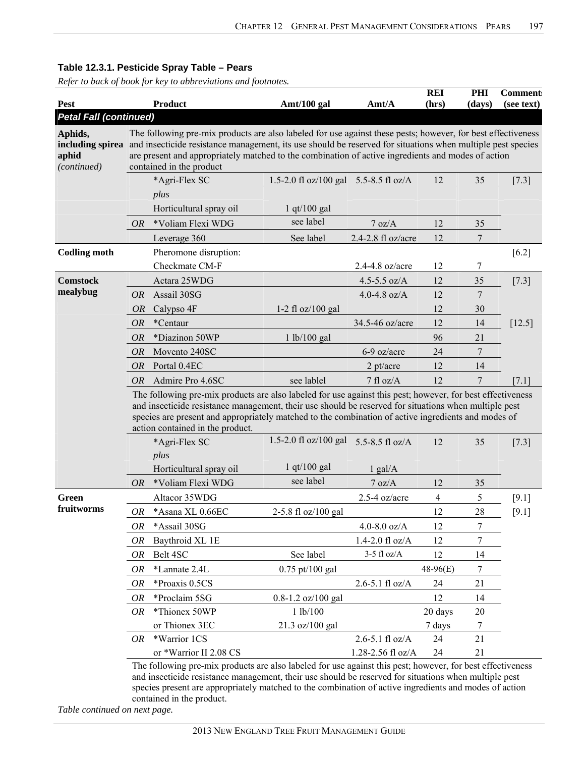*Refer to back of book for key to abbreviations and footnotes.* 

| Pest                            |           | <b>Product</b>                                                                                                                                                                                                                                                                                                                                                                 | Amt/100 gal                                                | Amt/A               | <b>REI</b><br>(hrs) | PHI<br>(days) | <b>Comment:</b><br>(see text) |  |  |  |
|---------------------------------|-----------|--------------------------------------------------------------------------------------------------------------------------------------------------------------------------------------------------------------------------------------------------------------------------------------------------------------------------------------------------------------------------------|------------------------------------------------------------|---------------------|---------------------|---------------|-------------------------------|--|--|--|
| <b>Petal Fall (continued)</b>   |           |                                                                                                                                                                                                                                                                                                                                                                                |                                                            |                     |                     |               |                               |  |  |  |
| Aphids,<br>aphid<br>(continued) |           | The following pre-mix products are also labeled for use against these pests; however, for best effectiveness<br>including spirea and insecticide resistance management, its use should be reserved for situations when multiple pest species<br>are present and appropriately matched to the combination of active ingredients and modes of action<br>contained in the product |                                                            |                     |                     |               |                               |  |  |  |
|                                 |           | *Agri-Flex SC<br>plus<br>Horticultural spray oil                                                                                                                                                                                                                                                                                                                               | 1.5-2.0 fl oz/100 gal 5.5-8.5 fl oz/A<br>$1$ qt/ $100$ gal |                     | 12                  | 35            | $[7.3]$                       |  |  |  |
|                                 | <i>OR</i> | *Voliam Flexi WDG                                                                                                                                                                                                                                                                                                                                                              | see label                                                  | 7 oz/A              | 12                  | 35            |                               |  |  |  |
|                                 |           | Leverage 360                                                                                                                                                                                                                                                                                                                                                                   | See label                                                  | 2.4-2.8 fl oz/acre  | 12                  | 7             |                               |  |  |  |
| <b>Codling moth</b>             |           | Pheromone disruption:<br>Checkmate CM-F                                                                                                                                                                                                                                                                                                                                        |                                                            | 2.4-4.8 oz/acre     | 12                  | 7             | $[6.2]$                       |  |  |  |
| <b>Comstock</b>                 |           | Actara 25WDG                                                                                                                                                                                                                                                                                                                                                                   |                                                            | 4.5-5.5 $oz/A$      | 12                  | 35            | $[7.3]$                       |  |  |  |
| mealybug                        | <i>OR</i> | Assail 30SG                                                                                                                                                                                                                                                                                                                                                                    |                                                            | 4.0-4.8 $oz/A$      | 12                  | 7             |                               |  |  |  |
|                                 | <i>OR</i> | Calypso 4F                                                                                                                                                                                                                                                                                                                                                                     | 1-2 fl $oz/100$ gal                                        |                     | 12                  | 30            |                               |  |  |  |
|                                 | <b>OR</b> | *Centaur                                                                                                                                                                                                                                                                                                                                                                       |                                                            | 34.5-46 oz/acre     | 12                  | 14            | $[12.5]$                      |  |  |  |
|                                 | OR        | *Diazinon 50WP                                                                                                                                                                                                                                                                                                                                                                 | 1 lb/100 gal                                               |                     | 96                  | 21            |                               |  |  |  |
|                                 | <i>OR</i> | Movento 240SC                                                                                                                                                                                                                                                                                                                                                                  |                                                            | 6-9 oz/acre         | 24                  | 7             |                               |  |  |  |
|                                 | <i>OR</i> | Portal 0.4EC                                                                                                                                                                                                                                                                                                                                                                   |                                                            | $2$ pt/acre         | 12                  | 14            |                               |  |  |  |
|                                 | <i>OR</i> | Admire Pro 4.6SC                                                                                                                                                                                                                                                                                                                                                               | see lablel                                                 | 7 fl oz/A           | 12                  | 7             | [7.1]                         |  |  |  |
|                                 |           | The following pre-mix products are also labeled for use against this pest; however, for best effectiveness<br>and insecticide resistance management, their use should be reserved for situations when multiple pest<br>species are present and appropriately matched to the combination of active ingredients and modes of<br>action contained in the product.                 |                                                            |                     |                     |               |                               |  |  |  |
|                                 |           | *Agri-Flex SC                                                                                                                                                                                                                                                                                                                                                                  | 1.5-2.0 fl $oz/100$ gal                                    | 5.5-8.5 fl $oz/A$   | 12                  | 35            | $[7.3]$                       |  |  |  |
|                                 |           | plus<br>Horticultural spray oil                                                                                                                                                                                                                                                                                                                                                | $1$ qt/ $100$ gal                                          | $1$ gal/A           |                     |               |                               |  |  |  |
|                                 | <b>OR</b> | *Voliam Flexi WDG                                                                                                                                                                                                                                                                                                                                                              | see label                                                  | 7 oz/A              | 12                  | 35            |                               |  |  |  |
| Green                           |           | Altacor 35WDG                                                                                                                                                                                                                                                                                                                                                                  |                                                            | $2.5-4$ oz/acre     | $\overline{4}$      | 5             | $[9.1]$                       |  |  |  |
| fruitworms                      | OR        | *Asana XL 0.66EC                                                                                                                                                                                                                                                                                                                                                               | 2-5.8 fl oz/100 gal                                        |                     | 12                  | 28            | [9.1]                         |  |  |  |
|                                 | OR        | *Assail 30SG                                                                                                                                                                                                                                                                                                                                                                   |                                                            | 4.0-8.0 $oz/A$      | 12                  | 7             |                               |  |  |  |
|                                 | OR        | Baythroid XL 1E                                                                                                                                                                                                                                                                                                                                                                |                                                            | $1.4 - 2.0$ fl oz/A | 12                  | 7             |                               |  |  |  |
|                                 | OR        | Belt 4SC                                                                                                                                                                                                                                                                                                                                                                       | See label                                                  | $3-5$ fl oz/A       | 12                  | 14            |                               |  |  |  |
|                                 | OR        | *Lannate 2.4L                                                                                                                                                                                                                                                                                                                                                                  | $0.75$ pt/100 gal                                          |                     | 48-96(E)            | 7             |                               |  |  |  |
|                                 | 0R        | *Proaxis 0.5CS                                                                                                                                                                                                                                                                                                                                                                 |                                                            | $2.6 - 5.1$ fl oz/A | 24                  | 21            |                               |  |  |  |
|                                 | OR        | *Proclaim 5SG                                                                                                                                                                                                                                                                                                                                                                  | 0.8-1.2 oz/100 gal                                         |                     | 12                  | 14            |                               |  |  |  |
|                                 | <i>OR</i> | *Thionex 50WP                                                                                                                                                                                                                                                                                                                                                                  | 1 lb/100                                                   |                     | 20 days             | 20            |                               |  |  |  |
|                                 |           | or Thionex 3EC                                                                                                                                                                                                                                                                                                                                                                 | 21.3 oz/100 gal                                            |                     | 7 days              | 7             |                               |  |  |  |
|                                 | OR.       | *Warrior 1CS                                                                                                                                                                                                                                                                                                                                                                   |                                                            | $2.6 - 5.1$ fl oz/A | 24                  | 21            |                               |  |  |  |
|                                 |           | or *Warrior II 2.08 CS                                                                                                                                                                                                                                                                                                                                                         |                                                            | 1.28-2.56 fl oz/A   | 24                  | 21            |                               |  |  |  |
|                                 |           | The following pre-mix products are also labeled for use against this pest; however, for best effectiveness                                                                                                                                                                                                                                                                     |                                                            |                     |                     |               |                               |  |  |  |

The following pre-mix products are also labeled for use against this pest; however, for best effectiveness and insecticide resistance management, their use should be reserved for situations when multiple pest species present are appropriately matched to the combination of active ingredients and modes of action contained in the product.

*Table continued on next page.*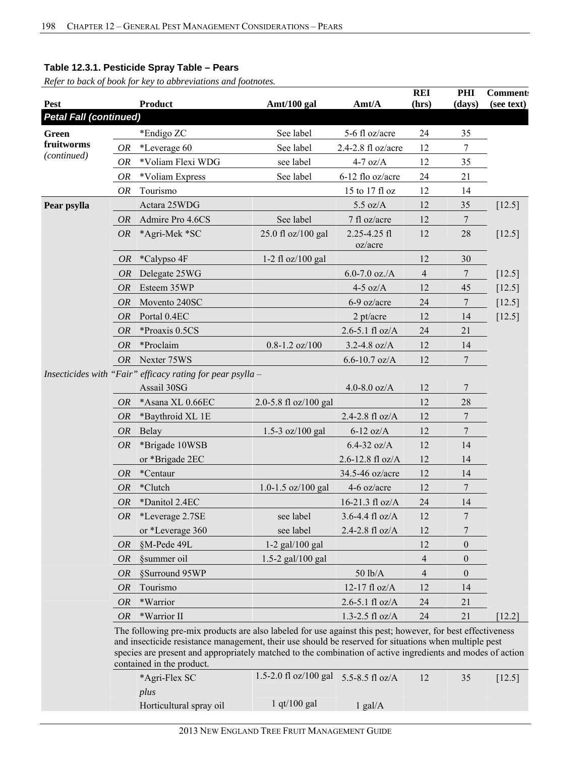*Refer to back of book for key to abbreviations and footnotes.* 

| Pest                          |           | <b>Product</b>                                                                                                                                                                                                                                                                                                                                                 | Amt/100 gal                           | Amt/A                   | <b>REI</b><br>(hrs)      | PHI<br>(days)  | <b>Comment:</b><br>(see text) |
|-------------------------------|-----------|----------------------------------------------------------------------------------------------------------------------------------------------------------------------------------------------------------------------------------------------------------------------------------------------------------------------------------------------------------------|---------------------------------------|-------------------------|--------------------------|----------------|-------------------------------|
| <b>Petal Fall (continued)</b> |           |                                                                                                                                                                                                                                                                                                                                                                |                                       |                         |                          |                |                               |
| Green                         |           | *Endigo ZC                                                                                                                                                                                                                                                                                                                                                     | See label                             | 5-6 fl oz/acre          | 24                       | 35             |                               |
| fruitworms                    | OR        | *Leverage 60                                                                                                                                                                                                                                                                                                                                                   | See label                             | 2.4-2.8 fl oz/acre      | 12                       | 7              |                               |
| (continued)                   | <b>OR</b> | *Voliam Flexi WDG                                                                                                                                                                                                                                                                                                                                              | see label                             | $4-7$ oz/A              | 12                       | 35             |                               |
|                               | <b>OR</b> | *Voliam Express                                                                                                                                                                                                                                                                                                                                                | See label                             | 6-12 flo oz/acre        | 24                       | 21             |                               |
|                               | <b>OR</b> | Tourismo                                                                                                                                                                                                                                                                                                                                                       |                                       | 15 to 17 fl oz          | 12                       | 14             |                               |
| Pear psylla                   |           | Actara 25WDG                                                                                                                                                                                                                                                                                                                                                   |                                       | $5.5 \text{ oz/A}$      | 12                       | 35             | [12.5]                        |
|                               | <b>OR</b> | Admire Pro 4.6CS                                                                                                                                                                                                                                                                                                                                               | See label                             | 7 fl oz/acre            | 12                       | $\overline{7}$ |                               |
|                               | <b>OR</b> | *Agri-Mek *SC                                                                                                                                                                                                                                                                                                                                                  | 25.0 fl oz/100 gal                    | 2.25-4.25 fl<br>oz/acre | 12                       | 28             | [12.5]                        |
|                               | <i>OR</i> | *Calypso 4F                                                                                                                                                                                                                                                                                                                                                    | 1-2 fl $oz/100$ gal                   |                         | 12                       | 30             |                               |
|                               | OR        | Delegate 25WG                                                                                                                                                                                                                                                                                                                                                  |                                       | $6.0 - 7.0$ oz./A       | $\overline{\mathcal{A}}$ | 7              | [12.5]                        |
|                               | <b>OR</b> | Esteem 35WP                                                                                                                                                                                                                                                                                                                                                    |                                       | $4-5$ oz/A              | 12                       | 45             | $[12.5]$                      |
|                               | <b>OR</b> | Movento 240SC                                                                                                                                                                                                                                                                                                                                                  |                                       | 6-9 oz/acre             | 24                       | 7              | [12.5]                        |
|                               | <b>OR</b> | Portal 0.4EC                                                                                                                                                                                                                                                                                                                                                   |                                       | $2$ pt/acre             | 12                       | 14             | $[12.5]$                      |
|                               | <b>OR</b> | *Proaxis 0.5CS                                                                                                                                                                                                                                                                                                                                                 |                                       | $2.6 - 5.1$ fl oz/A     | 24                       | 21             |                               |
|                               | <b>OR</b> | *Proclaim                                                                                                                                                                                                                                                                                                                                                      | $0.8 - 1.2$ oz/100                    | $3.2 - 4.8$ oz/A        | 12                       | 14             |                               |
|                               | <i>OR</i> | Nexter 75WS                                                                                                                                                                                                                                                                                                                                                    |                                       | $6.6 - 10.7$ oz/A       | 12                       | 7              |                               |
|                               |           | Insecticides with "Fair" efficacy rating for pear psylla -                                                                                                                                                                                                                                                                                                     |                                       |                         |                          |                |                               |
|                               |           | Assail 30SG                                                                                                                                                                                                                                                                                                                                                    |                                       | 4.0-8.0 $oz/A$          | 12                       | 7              |                               |
|                               | <b>OR</b> | *Asana XL 0.66EC                                                                                                                                                                                                                                                                                                                                               | 2.0-5.8 fl oz/100 gal                 |                         | 12                       | 28             |                               |
|                               | <b>OR</b> | *Baythroid XL 1E                                                                                                                                                                                                                                                                                                                                               |                                       | 2.4-2.8 fl oz/A         | 12                       | 7              |                               |
|                               | <b>OR</b> | Belay                                                                                                                                                                                                                                                                                                                                                          | 1.5-3 oz/100 gal                      | $6-12$ oz/A             | 12                       | $\overline{7}$ |                               |
|                               | <i>OR</i> | *Brigade 10WSB                                                                                                                                                                                                                                                                                                                                                 |                                       | $6.4 - 32$ oz/A         | 12                       | 14             |                               |
|                               |           | or *Brigade 2EC                                                                                                                                                                                                                                                                                                                                                |                                       | 2.6-12.8 fl oz/A        | 12                       | 14             |                               |
|                               | <b>OR</b> | *Centaur                                                                                                                                                                                                                                                                                                                                                       |                                       | 34.5-46 oz/acre         | 12                       | 14             |                               |
|                               | <b>OR</b> | *Clutch                                                                                                                                                                                                                                                                                                                                                        | 1.0-1.5 $oz/100$ gal                  | 4-6 oz/acre             | 12                       | $\overline{7}$ |                               |
|                               | <b>OR</b> | *Danitol 2.4EC                                                                                                                                                                                                                                                                                                                                                 |                                       | 16-21.3 fl oz/A         | 24                       | 14             |                               |
|                               | OR        | *Leverage 2.7SE                                                                                                                                                                                                                                                                                                                                                | see label                             | $3.6 - 4.4$ fl oz/A     | 12                       | $\tau$         |                               |
|                               |           | or *Leverage 360                                                                                                                                                                                                                                                                                                                                               | see label                             | 2.4-2.8 fl oz/A         | 12                       |                |                               |
|                               | <i>OR</i> | §M-Pede 49L                                                                                                                                                                                                                                                                                                                                                    | $1-2$ gal/ $100$ gal                  |                         | 12                       | $\theta$       |                               |
|                               | <i>OR</i> | §summer oil                                                                                                                                                                                                                                                                                                                                                    | 1.5-2 gal/100 gal                     |                         | 4                        | $\theta$       |                               |
|                               | <i>OR</i> | §Surround 95WP                                                                                                                                                                                                                                                                                                                                                 |                                       | 50 lb/A                 | 4                        | $\theta$       |                               |
|                               | OR        | Tourismo                                                                                                                                                                                                                                                                                                                                                       |                                       | 12-17 fl oz/A           | 12                       | 14             |                               |
|                               | <i>OR</i> | *Warrior                                                                                                                                                                                                                                                                                                                                                       |                                       | $2.6 - 5.1$ fl oz/A     | 24                       | 21             |                               |
|                               | <i>OR</i> | *Warrior II                                                                                                                                                                                                                                                                                                                                                    |                                       | $1.3 - 2.5$ fl oz/A     | 24                       | 21             | [12.2]                        |
|                               |           | The following pre-mix products are also labeled for use against this pest; however, for best effectiveness<br>and insecticide resistance management, their use should be reserved for situations when multiple pest<br>species are present and appropriately matched to the combination of active ingredients and modes of action<br>contained in the product. | 1.5-2.0 fl oz/100 gal 5.5-8.5 fl oz/A |                         |                          |                |                               |
|                               |           | *Agri-Flex SC<br>plus                                                                                                                                                                                                                                                                                                                                          |                                       |                         | 12                       | 35             | $[12.5]$                      |

Horticultural spray oil  $1$  qt/100 gal 1 gal/A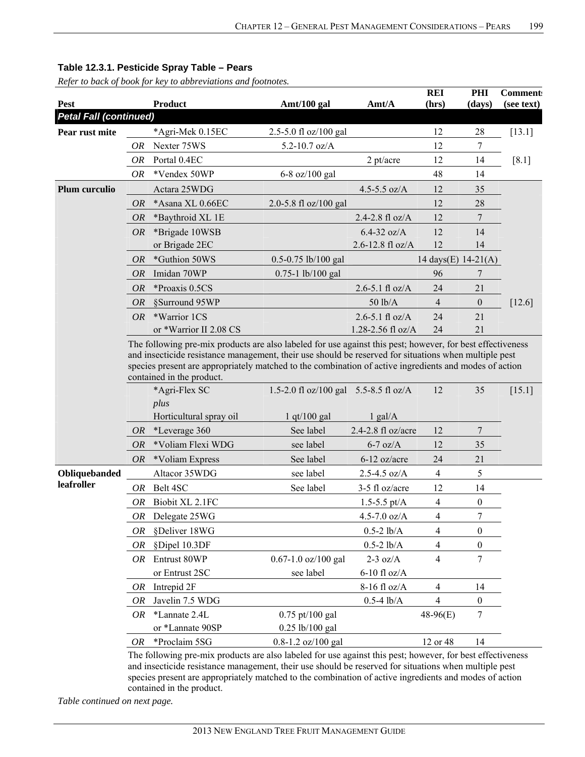*Refer to back of book for key to abbreviations and footnotes.* 

| Pest                          |           | <b>Product</b>                                                                                                              | Amt/100 gal                           | Amt/A              | <b>REI</b><br>(hrs) | PHI<br>(days)    | <b>Comment:</b><br>(see text) |
|-------------------------------|-----------|-----------------------------------------------------------------------------------------------------------------------------|---------------------------------------|--------------------|---------------------|------------------|-------------------------------|
| <b>Petal Fall (continued)</b> |           |                                                                                                                             |                                       |                    |                     |                  |                               |
| Pear rust mite                |           | *Agri-Mek 0.15EC                                                                                                            | 2.5-5.0 fl oz/100 gal                 |                    | 12                  | 28               | $[13.1]$                      |
|                               | OR        | Nexter 75WS                                                                                                                 | $5.2 - 10.7$ oz/A                     |                    | 12                  | 7                |                               |
|                               | OR        | Portal 0.4EC                                                                                                                |                                       | $2$ pt/acre        | 12                  | 14               | $[8.1]$                       |
|                               | OR        | *Vendex 50WP                                                                                                                | 6-8 oz/100 gal                        |                    | 48                  | 14               |                               |
| Plum curculio                 |           | Actara 25WDG                                                                                                                |                                       | 4.5-5.5 $oz/A$     | 12                  | 35               |                               |
|                               | 0R        | *Asana XL 0.66EC                                                                                                            | 2.0-5.8 fl oz/100 gal                 |                    | 12                  | 28               |                               |
|                               | <i>OR</i> | *Baythroid XL 1E                                                                                                            |                                       | 2.4-2.8 fl oz/A    | 12                  | 7                |                               |
|                               | OR        | *Brigade 10WSB                                                                                                              |                                       | $6.4 - 32$ oz/A    | 12                  | 14               |                               |
|                               |           | or Brigade 2EC                                                                                                              |                                       | 2.6-12.8 fl oz/A   | 12                  | 14               |                               |
|                               | <i>OR</i> | *Guthion 50WS                                                                                                               | 0.5-0.75 lb/100 gal                   |                    | 14 days(E) 14-21(A) |                  |                               |
|                               | <b>OR</b> | Imidan 70WP                                                                                                                 | $0.75 - 1$ lb/100 gal                 |                    | 96                  | 7                |                               |
|                               | <b>OR</b> | *Proaxis 0.5CS                                                                                                              |                                       | 2.6-5.1 fl $oz/A$  | 24                  | 21               |                               |
|                               | <i>OR</i> | §Surround 95WP                                                                                                              |                                       | 50 lb/A            | $\overline{4}$      | $\boldsymbol{0}$ | $[12.6]$                      |
|                               | <b>OR</b> | *Warrior 1CS                                                                                                                |                                       | 2.6-5.1 fl $oz/A$  | 24                  | 21               |                               |
|                               |           | or *Warrior II 2.08 CS                                                                                                      |                                       | 1.28-2.56 fl oz/A  | 24                  | 21               |                               |
|                               |           | contained in the product.<br>*Agri-Flex SC<br>plus                                                                          | 1.5-2.0 fl oz/100 gal 5.5-8.5 fl oz/A |                    | 12                  | 35               | [15.1]                        |
|                               |           |                                                                                                                             |                                       |                    |                     |                  |                               |
|                               |           | Horticultural spray oil                                                                                                     | $1$ qt/100 gal                        | $1$ gal/A          |                     |                  |                               |
|                               | OR        | *Leverage 360                                                                                                               | See label                             | 2.4-2.8 fl oz/acre | 12                  | 7                |                               |
|                               | <i>OR</i> | *Voliam Flexi WDG                                                                                                           | see label                             | $6-7$ oz/A         | 12                  | 35               |                               |
|                               | <i>OR</i> | *Voliam Express                                                                                                             | See label                             | 6-12 oz/acre       | 24                  | 21               |                               |
| Obliquebanded                 |           | Altacor 35WDG                                                                                                               | see label                             | $2.5 - 4.5$ oz/A   | $\overline{4}$      | 5                |                               |
| leafroller                    | OR        | Belt 4SC                                                                                                                    | See label                             | 3-5 fl oz/acre     | 12                  | 14               |                               |
|                               | 0R        | Biobit XL 2.1FC                                                                                                             |                                       | 1.5-5.5 pt/ $A$    | $\overline{4}$      | $\boldsymbol{0}$ |                               |
|                               |           | OR Delegate 25WG                                                                                                            |                                       | $4.5 - 7.0$ oz/A   | $\overline{4}$      | 7                |                               |
|                               | OR        | §Deliver 18WG                                                                                                               |                                       | $0.5 - 2$ lb/A     | 4                   | 0                |                               |
|                               | <i>OR</i> | §Dipel 10.3DF                                                                                                               |                                       | $0.5 - 2$ lb/A     | 4                   | $\boldsymbol{0}$ |                               |
|                               | OR.       | Entrust 80WP                                                                                                                | 0.67-1.0 oz/100 gal                   | $2-3$ oz/A         | $\overline{4}$      | 7                |                               |
|                               |           | or Entrust 2SC                                                                                                              | see label                             | $6-10$ fl oz/A     |                     |                  |                               |
|                               | OR        | Intrepid 2F                                                                                                                 |                                       | 8-16 fl oz/A       | 4                   | 14               |                               |
|                               | OR        | Javelin 7.5 WDG                                                                                                             |                                       | $0.5 - 4$ lb/A     | 4                   | $\boldsymbol{0}$ |                               |
|                               | OR        | *Lannate 2.4L<br>or *Lannate 90SP                                                                                           | 0.75 pt/100 gal                       |                    | $48-96(E)$          | 7                |                               |
|                               |           |                                                                                                                             | 0.25 lb/100 gal                       |                    |                     |                  |                               |
|                               | OR        | *Proclaim 5SG<br>The following pre-mix products are also labeled for use against this pest: however, for hest effectiveness | $0.8 - 1.2$ oz/100 gal                |                    | 12 or 48            | 14               |                               |

The following pre-mix products are also labeled for use against this pest; however, for best effectiveness and insecticide resistance management, their use should be reserved for situations when multiple pest species present are appropriately matched to the combination of active ingredients and modes of action contained in the product.

*Table continued on next page.*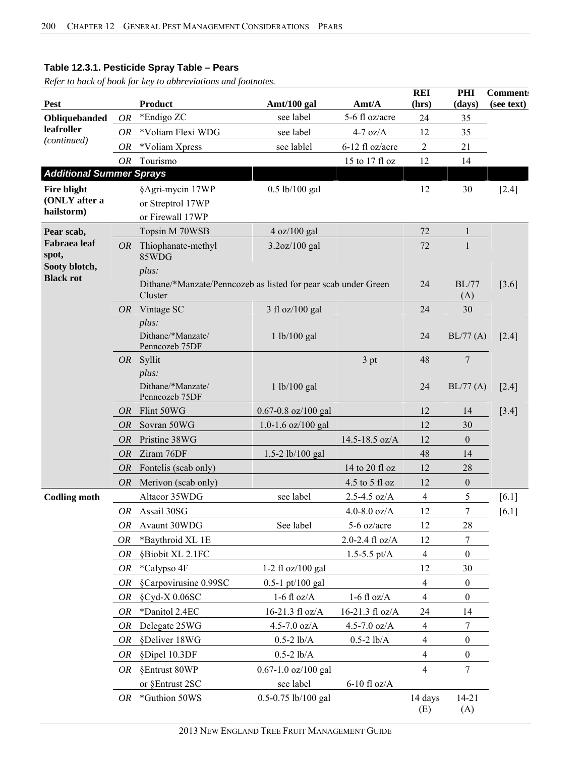|                                   |           |                                     |                                                                |                     | <b>REI</b>     | PHI              | <b>Comment:</b> |
|-----------------------------------|-----------|-------------------------------------|----------------------------------------------------------------|---------------------|----------------|------------------|-----------------|
| Pest                              |           | <b>Product</b>                      | Amt/100 gal                                                    | Amt/A               | (hrs)          | (days)           | (see text)      |
| Obliquebanded                     | <b>OR</b> | *Endigo ZC                          | see label                                                      | 5-6 fl oz/acre      | 24             | 35               |                 |
| leafroller<br>(continued)         | OR        | *Voliam Flexi WDG                   | see label                                                      | $4-7$ oz/A          | 12             | 35               |                 |
|                                   | OR        | *Voliam Xpress                      | see lablel                                                     | 6-12 fl oz/acre     | $\overline{c}$ | 21               |                 |
|                                   | <b>OR</b> | Tourismo                            |                                                                | 15 to 17 fl oz      | 12             | 14               |                 |
| <b>Additional Summer Sprays</b>   |           |                                     |                                                                |                     |                |                  |                 |
| <b>Fire blight</b>                |           | §Agri-mycin 17WP                    | $0.5$ lb/100 gal                                               |                     | 12             | 30               | $[2.4]$         |
| (ONLY after a<br>hailstorm)       |           | or Streptrol 17WP                   |                                                                |                     |                |                  |                 |
|                                   |           | or Firewall 17WP                    |                                                                |                     |                |                  |                 |
| Pear scab,                        |           | Topsin M 70WSB                      | 4 oz/100 gal                                                   |                     | 72             | $\mathbf{1}$     |                 |
| <b>Fabraea</b> leaf<br>spot,      | OR        | Thiophanate-methyl<br>85WDG         | 3.2oz/100 gal                                                  |                     | 72             | 1                |                 |
| Sooty blotch,<br><b>Black rot</b> |           | plus:                               |                                                                |                     |                |                  |                 |
|                                   |           | Cluster                             | Dithane/*Manzate/Penncozeb as listed for pear scab under Green |                     | 24             | BL/77<br>(A)     | [3.6]           |
|                                   |           | $OR$ Vintage SC                     | 3 fl oz/100 gal                                                |                     | 24             | 30               |                 |
|                                   |           | plus:                               |                                                                |                     |                |                  |                 |
|                                   |           | Dithane/*Manzate/<br>Penncozeb 75DF | 1 lb/100 gal                                                   |                     | 24             | BL/77(A)         | $[2.4]$         |
|                                   |           | OR Syllit                           |                                                                | 3 pt                | 48             | 7                |                 |
|                                   |           | plus:                               |                                                                |                     |                |                  |                 |
|                                   |           | Dithane/*Manzate/<br>Penncozeb 75DF | 1 lb/100 gal                                                   |                     | 24             | BL/77(A)         | $[2.4]$         |
|                                   | <i>OR</i> | Flint 50WG                          | $0.67 - 0.8$ oz/100 gal                                        |                     | 12             | 14               | $[3.4]$         |
|                                   | OR        | Sovran 50WG                         | 1.0-1.6 oz/100 gal                                             |                     | 12             | 30               |                 |
|                                   | <i>OR</i> | Pristine 38WG                       |                                                                | 14.5-18.5 oz/A      | 12             | $\theta$         |                 |
|                                   | OR        | Ziram 76DF                          | 1.5-2 lb/100 gal                                               |                     | 48             | 14               |                 |
|                                   | OR        | Fontelis (scab only)                |                                                                | 14 to 20 fl oz      | 12             | 28               |                 |
|                                   | OR        | Merivon (scab only)                 |                                                                | 4.5 to 5 fl oz      | 12             | $\boldsymbol{0}$ |                 |
| <b>Codling moth</b>               |           | Altacor 35WDG                       | see label                                                      | $2.5 - 4.5$ oz/A    | 4              | 5                | $[6.1]$         |
|                                   |           | OR Assail 30SG                      |                                                                | 4.0-8.0 $oz/A$      | 12             | $\boldsymbol{7}$ | [6.1]           |
|                                   | OR        | Avaunt 30WDG                        | See label                                                      | 5-6 oz/acre         | 12             | 28               |                 |
|                                   | <b>OR</b> | *Baythroid XL 1E                    |                                                                | $2.0 - 2.4$ fl oz/A | 12             | $\overline{7}$   |                 |
|                                   | OR        | §Biobit XL 2.1FC                    |                                                                | 1.5-5.5 $pt/A$      | $\overline{4}$ | $\boldsymbol{0}$ |                 |
|                                   | OR        | *Calypso 4F                         | 1-2 fl oz/100 gal                                              |                     | 12             | 30               |                 |
|                                   | OR        | §Carpovirusine 0.99SC               | $0.5 - 1$ pt/100 gal                                           |                     | $\overline{4}$ | $\boldsymbol{0}$ |                 |
|                                   | OR        | §Cyd-X 0.06SC                       | $1-6$ fl oz/A                                                  | $1-6$ fl oz/A       | 4              | $\boldsymbol{0}$ |                 |
|                                   | OR        | *Danitol 2.4EC                      | 16-21.3 fl oz/A                                                | 16-21.3 fl oz/A     | 24             | 14               |                 |
|                                   | OR        | Delegate 25WG                       | 4.5-7.0 $oz/A$                                                 | 4.5-7.0 $oz/A$      | $\overline{4}$ | $\tau$           |                 |
|                                   | OR        | §Deliver 18WG                       | $0.5 - 2$ lb/A                                                 | $0.5 - 2 lb/A$      | $\overline{4}$ | $\boldsymbol{0}$ |                 |
|                                   | OR        | §Dipel 10.3DF                       | $0.5 - 2$ lb/A                                                 |                     | $\overline{4}$ | $\boldsymbol{0}$ |                 |
|                                   | <i>OR</i> | §Entrust 80WP                       | $0.67 - 1.0$ oz/100 gal                                        |                     | $\overline{4}$ | $\overline{7}$   |                 |
|                                   |           | or §Entrust 2SC                     | see label                                                      | $6-10$ fl oz/A      |                |                  |                 |
|                                   | OR        | *Guthion 50WS                       | 0.5-0.75 lb/100 gal                                            |                     | 14 days<br>(E) | $14 - 21$<br>(A) |                 |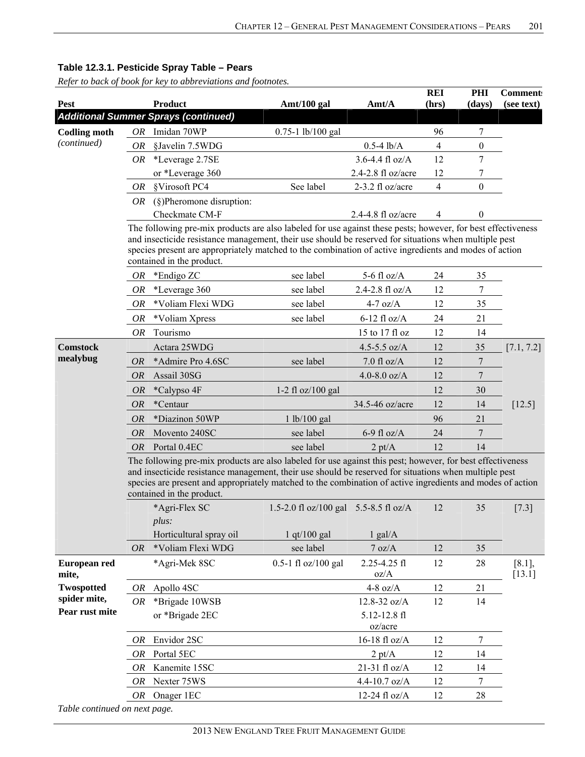| Pest                          |                                                                                                                                                                                                                                                                                                                                                                | <b>Product</b>                              |                                       | Amt/A                   | <b>REI</b><br>(hrs) | PHI              | <b>Comment:</b><br>(see text) |  |  |  |  |  |
|-------------------------------|----------------------------------------------------------------------------------------------------------------------------------------------------------------------------------------------------------------------------------------------------------------------------------------------------------------------------------------------------------------|---------------------------------------------|---------------------------------------|-------------------------|---------------------|------------------|-------------------------------|--|--|--|--|--|
|                               |                                                                                                                                                                                                                                                                                                                                                                | <b>Additional Summer Sprays (continued)</b> | Amt/100 gal                           |                         |                     | (days)           |                               |  |  |  |  |  |
| <b>Codling moth</b>           | OR                                                                                                                                                                                                                                                                                                                                                             | Imidan 70WP                                 | 0.75-1 lb/100 gal                     |                         | 96                  | 7                |                               |  |  |  |  |  |
| (continued)                   | <i>OR</i>                                                                                                                                                                                                                                                                                                                                                      | §Javelin 7.5WDG                             |                                       | $0.5-4$ lb/A            | $\overline{4}$      | $\boldsymbol{0}$ |                               |  |  |  |  |  |
|                               | OR.                                                                                                                                                                                                                                                                                                                                                            | *Leverage 2.7SE                             |                                       | $3.6 - 4.4$ fl oz/A     | 12                  | $\overline{7}$   |                               |  |  |  |  |  |
|                               |                                                                                                                                                                                                                                                                                                                                                                | or *Leverage 360                            |                                       | 2.4-2.8 fl oz/acre      | 12                  | 7                |                               |  |  |  |  |  |
|                               | <i>OR</i>                                                                                                                                                                                                                                                                                                                                                      | §Virosoft PC4                               | See label                             | 2-3.2 fl oz/acre        | $\overline{4}$      | $\theta$         |                               |  |  |  |  |  |
|                               |                                                                                                                                                                                                                                                                                                                                                                | <i>OR</i> (§)Pheromone disruption:          |                                       |                         |                     |                  |                               |  |  |  |  |  |
|                               |                                                                                                                                                                                                                                                                                                                                                                | Checkmate CM-F                              |                                       | 2.4-4.8 fl oz/acre      | 4                   | $\boldsymbol{0}$ |                               |  |  |  |  |  |
|                               | The following pre-mix products are also labeled for use against these pests; however, for best effectiveness<br>and insecticide resistance management, their use should be reserved for situations when multiple pest<br>species present are appropriately matched to the combination of active ingredients and modes of action<br>contained in the product.   |                                             |                                       |                         |                     |                  |                               |  |  |  |  |  |
|                               | OR                                                                                                                                                                                                                                                                                                                                                             | *Endigo ZC                                  | see label                             | 5-6 fl $oz/A$           | 24                  | 35               |                               |  |  |  |  |  |
|                               | <i>OR</i>                                                                                                                                                                                                                                                                                                                                                      | *Leverage 360                               | see label                             | 2.4-2.8 fl oz/A         | 12                  | $\overline{7}$   |                               |  |  |  |  |  |
|                               | <i>OR</i>                                                                                                                                                                                                                                                                                                                                                      | *Voliam Flexi WDG                           | see label                             | $4-7$ oz/A              | 12                  | 35               |                               |  |  |  |  |  |
|                               | OR                                                                                                                                                                                                                                                                                                                                                             | *Voliam Xpress                              | see label                             | $6-12$ fl oz/A          | 24                  | 21               |                               |  |  |  |  |  |
|                               | <i>OR</i>                                                                                                                                                                                                                                                                                                                                                      | Tourismo                                    |                                       | 15 to 17 fl oz          | 12                  | 14               |                               |  |  |  |  |  |
| <b>Comstock</b>               |                                                                                                                                                                                                                                                                                                                                                                | Actara 25WDG                                |                                       | 4.5-5.5 $oz/A$          | 12                  | 35               | [7.1, 7.2]                    |  |  |  |  |  |
| mealybug                      | <b>OR</b>                                                                                                                                                                                                                                                                                                                                                      | *Admire Pro 4.6SC                           | see label                             | $7.0$ fl oz/A           | 12                  | $\overline{7}$   |                               |  |  |  |  |  |
|                               | <b>OR</b>                                                                                                                                                                                                                                                                                                                                                      | Assail 30SG                                 |                                       | 4.0-8.0 $oz/A$          | 12                  | $\overline{7}$   |                               |  |  |  |  |  |
|                               | <i>OR</i>                                                                                                                                                                                                                                                                                                                                                      | *Calypso 4F                                 | $1-2$ fl oz/100 gal                   |                         | 12                  | 30               |                               |  |  |  |  |  |
|                               | OR                                                                                                                                                                                                                                                                                                                                                             | *Centaur                                    |                                       | 34.5-46 oz/acre         | 12                  | 14               | [12.5]                        |  |  |  |  |  |
|                               | <b>OR</b>                                                                                                                                                                                                                                                                                                                                                      | *Diazinon 50WP                              | 1 lb/100 gal                          |                         | 96                  | 21               |                               |  |  |  |  |  |
|                               | OR                                                                                                                                                                                                                                                                                                                                                             | Movento 240SC                               | see label                             | 6-9 fl $oz/A$           | 24                  | $\overline{7}$   |                               |  |  |  |  |  |
|                               | <i>OR</i>                                                                                                                                                                                                                                                                                                                                                      | Portal 0.4EC                                | see label                             | $2 \text{ pt/A}$        | 12                  | 14               |                               |  |  |  |  |  |
|                               | The following pre-mix products are also labeled for use against this pest; however, for best effectiveness<br>and insecticide resistance management, their use should be reserved for situations when multiple pest<br>species are present and appropriately matched to the combination of active ingredients and modes of action<br>contained in the product. |                                             |                                       |                         |                     |                  |                               |  |  |  |  |  |
|                               |                                                                                                                                                                                                                                                                                                                                                                | *Agri-Flex SC                               | 1.5-2.0 fl oz/100 gal 5.5-8.5 fl oz/A |                         | 12                  | 35               | $[7.3]$                       |  |  |  |  |  |
|                               |                                                                                                                                                                                                                                                                                                                                                                | plus:                                       |                                       |                         |                     |                  |                               |  |  |  |  |  |
|                               |                                                                                                                                                                                                                                                                                                                                                                | Horticultural spray oil                     | $1$ qt/ $100$ gal                     | $1$ gal/A               |                     |                  |                               |  |  |  |  |  |
|                               | <b>OR</b>                                                                                                                                                                                                                                                                                                                                                      | *Voliam Flexi WDG                           | see label                             | 7 oz/A                  | 12                  | 35               |                               |  |  |  |  |  |
| European red<br>mite,         |                                                                                                                                                                                                                                                                                                                                                                | *Agri-Mek 8SC                               | 0.5-1 fl oz/100 gal                   | 2.25-4.25 fl<br>oz/A    | 12                  | 28               | $[8.1]$ ,<br>[13.1]           |  |  |  |  |  |
| <b>Twospotted</b>             | <i>OR</i>                                                                                                                                                                                                                                                                                                                                                      | Apollo 4SC                                  |                                       | 4-8 $oz/A$              | 12                  | 21               |                               |  |  |  |  |  |
| spider mite,                  | OR.                                                                                                                                                                                                                                                                                                                                                            | *Brigade 10WSB                              |                                       | 12.8-32 oz/A            | 12                  | 14               |                               |  |  |  |  |  |
| Pear rust mite                |                                                                                                                                                                                                                                                                                                                                                                | or *Brigade 2EC                             |                                       | 5.12-12.8 fl<br>oz/acre |                     |                  |                               |  |  |  |  |  |
|                               | <i>OR</i>                                                                                                                                                                                                                                                                                                                                                      | Envidor 2SC                                 |                                       | 16-18 fl $oz/A$         | 12                  | $\overline{7}$   |                               |  |  |  |  |  |
|                               | OR                                                                                                                                                                                                                                                                                                                                                             | Portal 5EC                                  |                                       | $2 \text{ pt/A}$        | 12                  | 14               |                               |  |  |  |  |  |
|                               | <i>OR</i>                                                                                                                                                                                                                                                                                                                                                      | Kanemite 15SC                               |                                       | $21-31$ fl oz/A         | 12                  | 14               |                               |  |  |  |  |  |
|                               | OR                                                                                                                                                                                                                                                                                                                                                             | Nexter 75WS                                 |                                       | 4.4-10.7 oz/A           | 12                  | $\tau$           |                               |  |  |  |  |  |
|                               | OR                                                                                                                                                                                                                                                                                                                                                             | Onager 1EC                                  |                                       | 12-24 fl oz/A           | 12                  | 28               |                               |  |  |  |  |  |
| Table continued on next page. |                                                                                                                                                                                                                                                                                                                                                                |                                             |                                       |                         |                     |                  |                               |  |  |  |  |  |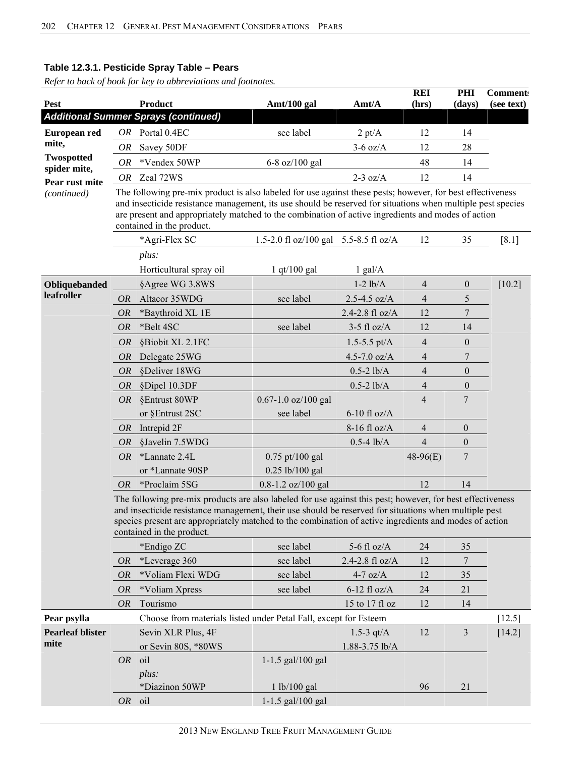| Pest                           |           | Product                                                                                                                                                                                                                                                                                                                                                      | Amt/100 gal                           | Amt/A             | <b>REI</b><br>(hrs)      | PHI<br>(days)    | <b>Comment:</b><br>(see text) |
|--------------------------------|-----------|--------------------------------------------------------------------------------------------------------------------------------------------------------------------------------------------------------------------------------------------------------------------------------------------------------------------------------------------------------------|---------------------------------------|-------------------|--------------------------|------------------|-------------------------------|
|                                |           | <b>Additional Summer Sprays (continued)</b>                                                                                                                                                                                                                                                                                                                  |                                       |                   |                          |                  |                               |
| European red                   | OR        | Portal 0.4EC                                                                                                                                                                                                                                                                                                                                                 | see label                             | $2 \text{ pt/A}$  | 12                       | 14               |                               |
| mite,                          | OR        | Savey 50DF                                                                                                                                                                                                                                                                                                                                                   |                                       | $3-6$ oz/A        | 12                       | 28               |                               |
| <b>Twospotted</b>              | OR        | *Vendex 50WP                                                                                                                                                                                                                                                                                                                                                 | 6-8 oz/100 gal                        |                   | 48                       | 14               |                               |
| spider mite,<br>Pear rust mite | OR        | Zeal 72WS                                                                                                                                                                                                                                                                                                                                                    |                                       | $2-3$ oz/A        | 12                       | 14               |                               |
| (continued)                    |           | The following pre-mix product is also labeled for use against these pests; however, for best effectiveness<br>and insecticide resistance management, its use should be reserved for situations when multiple pest species<br>are present and appropriately matched to the combination of active ingredients and modes of action<br>contained in the product. |                                       |                   |                          |                  |                               |
|                                |           | *Agri-Flex SC                                                                                                                                                                                                                                                                                                                                                | 1.5-2.0 fl oz/100 gal 5.5-8.5 fl oz/A |                   | 12                       | 35               | $[8.1]$                       |
|                                |           | plus:<br>Horticultural spray oil                                                                                                                                                                                                                                                                                                                             | $1$ qt/100 gal                        | $1$ gal/A         |                          |                  |                               |
| Obliquebanded                  |           | §Agree WG 3.8WS                                                                                                                                                                                                                                                                                                                                              |                                       | $1-2$ $lb/A$      | $\overline{4}$           | $\boldsymbol{0}$ | $[10.2]$                      |
| leafroller                     | <i>OR</i> | Altacor 35WDG                                                                                                                                                                                                                                                                                                                                                | see label                             | $2.5 - 4.5$ oz/A  | $\overline{4}$           | 5                |                               |
|                                | <b>OR</b> | *Baythroid XL 1E                                                                                                                                                                                                                                                                                                                                             |                                       | 2.4-2.8 fl $oz/A$ | 12                       | 7                |                               |
|                                | <b>OR</b> | *Belt 4SC                                                                                                                                                                                                                                                                                                                                                    | see label                             | $3-5$ fl oz/A     | 12                       | 14               |                               |
|                                | <i>OR</i> | §Biobit XL 2.1FC                                                                                                                                                                                                                                                                                                                                             |                                       | $1.5 - 5.5$ pt/A  | $\overline{\mathcal{A}}$ | $\mathbf{0}$     |                               |
|                                | <b>OR</b> | Delegate 25WG                                                                                                                                                                                                                                                                                                                                                |                                       | 4.5-7.0 $oz/A$    | 4                        | $\overline{7}$   |                               |
|                                | <b>OR</b> | §Deliver 18WG                                                                                                                                                                                                                                                                                                                                                |                                       | $0.5 - 2$ lb/A    | $\overline{4}$           | $\overline{0}$   |                               |
|                                | <b>OR</b> | §Dipel 10.3DF                                                                                                                                                                                                                                                                                                                                                |                                       | $0.5 - 2$ lb/A    | 4                        | $\mathbf{0}$     |                               |
|                                | <i>OR</i> | §Entrust 80WP                                                                                                                                                                                                                                                                                                                                                | $0.67 - 1.0$ oz/100 gal               |                   | $\overline{4}$           | 7                |                               |
|                                |           | or §Entrust 2SC                                                                                                                                                                                                                                                                                                                                              | see label                             | $6-10$ fl oz/A    |                          |                  |                               |
|                                | <b>OR</b> | Intrepid 2F                                                                                                                                                                                                                                                                                                                                                  |                                       | $8-16$ fl oz/A    | $\overline{4}$           | $\theta$         |                               |
|                                | <b>OR</b> | §Javelin 7.5WDG                                                                                                                                                                                                                                                                                                                                              |                                       | $0.5 - 4$ lb/A    | $\overline{\mathcal{A}}$ | $\boldsymbol{0}$ |                               |
|                                | OR.       | *Lannate 2.4L                                                                                                                                                                                                                                                                                                                                                | $0.75$ pt/100 gal                     |                   | $48-96(E)$               | 7                |                               |
|                                |           | or *Lannate 90SP                                                                                                                                                                                                                                                                                                                                             | $0.25$ lb/100 gal                     |                   |                          |                  |                               |
|                                | <i>OR</i> | *Proclaim 5SG                                                                                                                                                                                                                                                                                                                                                | $0.8 - 1.2$ oz/100 gal                |                   | 12                       | 14               |                               |
|                                |           | The following pre-mix products are also labeled for use against this pest; however, for best effectiveness<br>and insecticide resistance management, their use should be reserved for situations when multiple pest<br>species present are appropriately matched to the combination of active ingredients and modes of action<br>contained in the product.   |                                       |                   |                          |                  |                               |
|                                |           | *Endigo ZC                                                                                                                                                                                                                                                                                                                                                   | see label                             | 5-6 fl $oz/A$     | 24                       | 35               |                               |
|                                | <i>OR</i> | *Leverage 360                                                                                                                                                                                                                                                                                                                                                | see label                             | 2.4-2.8 fl oz/A   | 12                       | 7                |                               |
|                                | <b>OR</b> | *Voliam Flexi WDG                                                                                                                                                                                                                                                                                                                                            | see label                             | $4-7$ oz/A        | 12                       | 35               |                               |
|                                | <i>OR</i> | *Voliam Xpress                                                                                                                                                                                                                                                                                                                                               | see label                             | $6-12$ fl oz/A    | 24                       | 21               |                               |
|                                | <i>OR</i> | Tourismo                                                                                                                                                                                                                                                                                                                                                     |                                       | 15 to 17 fl oz    | 12                       | 14               |                               |
| Pear psylla                    |           | Choose from materials listed under Petal Fall, except for Esteem                                                                                                                                                                                                                                                                                             |                                       |                   |                          |                  | $[12.5]$                      |
| <b>Pearleaf blister</b>        |           | Sevin XLR Plus, 4F                                                                                                                                                                                                                                                                                                                                           |                                       | 1.5-3 $qt/A$      | 12                       | $\mathfrak{Z}$   | $[14.2]$                      |
| mite                           |           | or Sevin 80S, *80WS                                                                                                                                                                                                                                                                                                                                          |                                       | 1.88-3.75 lb/A    |                          |                  |                               |
|                                | <b>OR</b> | oil                                                                                                                                                                                                                                                                                                                                                          | 1-1.5 gal/100 gal                     |                   |                          |                  |                               |
|                                |           | plus:                                                                                                                                                                                                                                                                                                                                                        |                                       |                   |                          |                  |                               |
|                                |           | *Diazinon 50WP                                                                                                                                                                                                                                                                                                                                               | 1 lb/100 gal                          |                   | 96                       | 21               |                               |
|                                |           | OR oil                                                                                                                                                                                                                                                                                                                                                       | 1-1.5 gal/100 gal                     |                   |                          |                  |                               |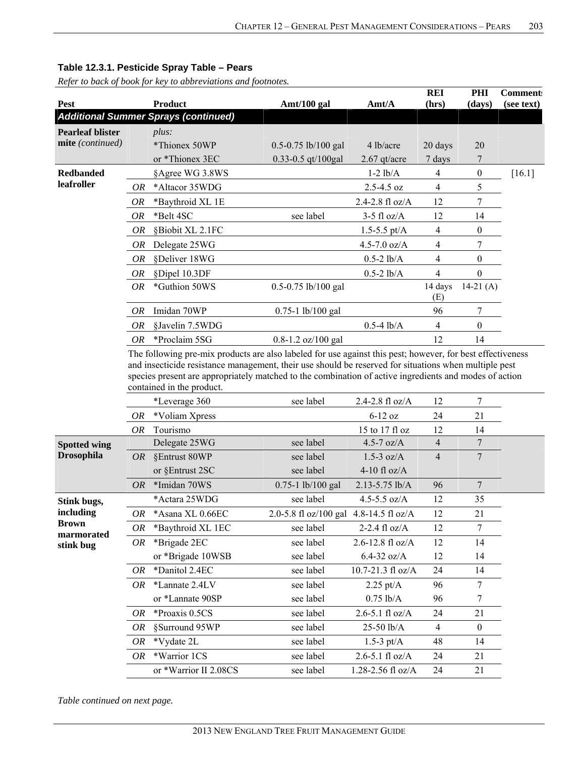*Refer to back of book for key to abbreviations and footnotes.* 

| <b>Pest</b>               |           | <b>Product</b>                              | Amt/100 gal                            | Amt/A               | <b>REI</b><br>(hrs) | PHI<br>(days)    | <b>Comment:</b><br>(see text) |
|---------------------------|-----------|---------------------------------------------|----------------------------------------|---------------------|---------------------|------------------|-------------------------------|
|                           |           | <b>Additional Summer Sprays (continued)</b> |                                        |                     |                     |                  |                               |
| <b>Pearleaf blister</b>   |           | plus:                                       |                                        |                     |                     |                  |                               |
| mite (continued)          |           | *Thionex 50WP                               | $0.5 - 0.75$ lb/100 gal                | 4 lb/acre           | 20 days             | 20               |                               |
|                           |           | or *Thionex 3EC                             | 0.33-0.5 qt/100gal                     | $2.67$ qt/acre      | 7 days              | 7                |                               |
| <b>Redbanded</b>          |           | §Agree WG 3.8WS                             |                                        | $1-2$ $lb/A$        | 4                   | $\boldsymbol{0}$ | $[16.1]$                      |
| leafroller                | OR        | *Altacor 35WDG                              |                                        | 2.5-4.5 oz          | $\overline{4}$      | 5                |                               |
|                           | <b>OR</b> | *Baythroid XL 1E                            |                                        | 2.4-2.8 $fl$ oz/A   | 12                  | 7                |                               |
|                           | OR        | *Belt 4SC                                   | see label                              | $3-5$ fl oz/A       | 12                  | 14               |                               |
|                           | OR        | §Biobit XL 2.1FC                            |                                        | 1.5-5.5 pt/ $A$     | $\overline{4}$      | $\boldsymbol{0}$ |                               |
|                           | 0R        | Delegate 25WG                               |                                        | 4.5-7.0 $oz/A$      | 4                   | 7                |                               |
|                           | OR        | §Deliver 18WG                               |                                        | $0.5 - 2$ lb/A      | 4                   | $\theta$         |                               |
|                           | OR        | §Dipel 10.3DF                               |                                        | $0.5 - 2$ lb/A      | $\overline{4}$      | $\boldsymbol{0}$ |                               |
|                           | <b>OR</b> | *Guthion 50WS                               | 0.5-0.75 lb/100 gal                    |                     | 14 days<br>(E)      | $14-21(A)$       |                               |
|                           | <i>OR</i> | Imidan 70WP                                 | $0.75 - 1$ lb/100 gal                  |                     | 96                  | 7                |                               |
|                           | OR        | §Javelin 7.5WDG                             |                                        | $0.5 - 4$ lb/A      | $\overline{4}$      | $\boldsymbol{0}$ |                               |
|                           | <b>OR</b> | *Proclaim 5SG                               | 0.8-1.2 oz/100 gal                     |                     | 12                  | 14               |                               |
|                           |           | contained in the product.                   |                                        |                     |                     | 7                |                               |
|                           |           | *Leverage 360                               | see label                              | 2.4-2.8 fl oz/A     | 12                  |                  |                               |
|                           | 0R        | *Voliam Xpress                              |                                        | $6-12$ oz           | 24                  | 21               |                               |
|                           | OR        | Tourismo                                    |                                        | 15 to 17 fl oz      | 12                  | 14               |                               |
| <b>Spotted wing</b>       |           | Delegate 25WG                               | see label                              | 4.5-7 $oz/A$        | $\overline{4}$      | $\boldsymbol{7}$ |                               |
| <b>Drosophila</b>         | OR        | §Entrust 80WP                               | see label                              | $1.5-3$ oz/A        | $\overline{4}$      | $\overline{7}$   |                               |
|                           |           | or §Entrust 2SC                             | see label                              | 4-10 fl $oz/A$      |                     |                  |                               |
|                           | <i>OR</i> | *Imidan 70WS                                | 0.75-1 lb/100 gal                      | 2.13-5.75 lb/A      | 96                  | $\overline{7}$   |                               |
| Stink bugs,               |           | *Actara 25WDG                               | see label                              | 4.5-5.5 oz/A        | 12                  | 35               |                               |
| including<br><b>Brown</b> | OR        | *Asana XL 0.66EC                            | 2.0-5.8 fl oz/100 gal 4.8-14.5 fl oz/A |                     | 12                  | 21               |                               |
| marmorated                | OR        | *Baythroid XL 1EC                           | see label                              | 2-2.4 fl oz/A       | 12                  | $\tau$           |                               |
| stink bug                 | OR        | *Brigade 2EC                                | see label                              | 2.6-12.8 fl oz/A    | 12                  | 14               |                               |
|                           |           | or *Brigade 10WSB                           | see label                              | $6.4-32$ oz/A       | 12                  | 14               |                               |
|                           | OR        | *Danitol 2.4EC                              | see label                              | 10.7-21.3 fl oz/A   | 24                  | 14               |                               |
|                           | OR        | *Lannate 2.4LV                              | see label                              | $2.25 \text{ pt/A}$ | 96                  | $\tau$           |                               |
|                           |           | or *Lannate 90SP                            | see label                              | $0.75$ lb/A         | 96                  | 7                |                               |
|                           | OR        | *Proaxis 0.5CS                              | see label                              | $2.6 - 5.1$ fl oz/A | 24                  | 21               |                               |
|                           | OR        | §Surround 95WP                              | see label                              | 25-50 lb/A          | $\overline{4}$      | $\boldsymbol{0}$ |                               |
|                           | OR        | *Vydate 2L                                  | see label                              | $1.5-3$ pt/A        | 48                  | 14               |                               |
|                           | OR        | *Warrior 1CS                                | see label                              | $2.6 - 5.1$ fl oz/A | 24                  | 21               |                               |
|                           |           | or *Warrior II 2.08CS                       | see label                              | 1.28-2.56 fl oz/A   | 24                  | 21               |                               |

*Table continued on next page.*